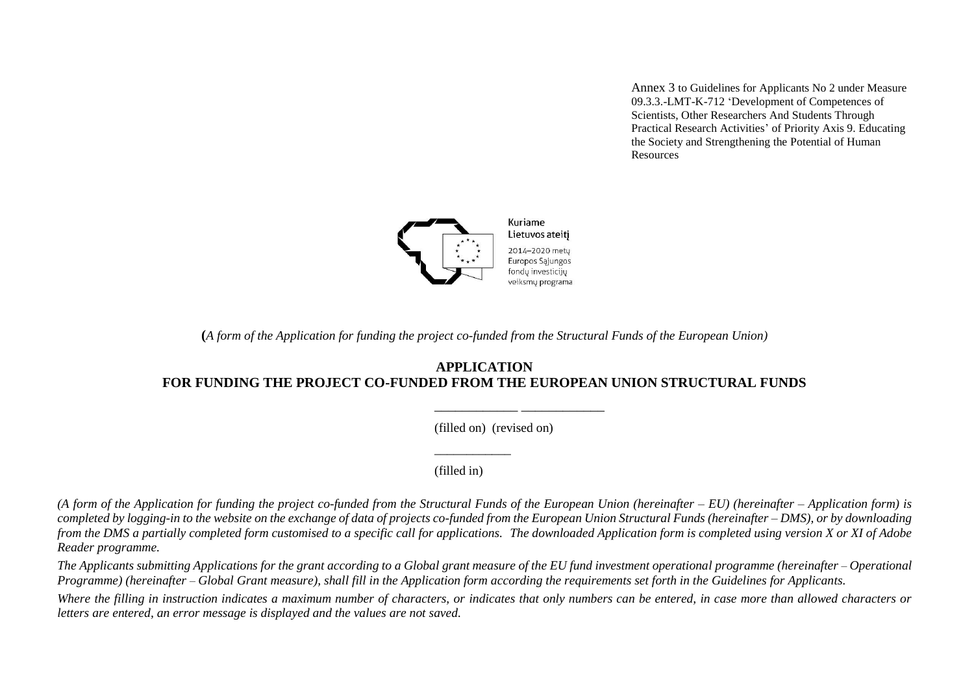Annex 3 to Guidelines for Applicants No 2 under Measure 09.3.3.-LMT-K-712 'Development of Competences of Scientists, Other Researchers And Students Through Practical Research Activities' of Priority Axis 9. Educating the Society and Strengthening the Potential of Human Resources



Lietuvos ateitį 2014-2020 mety Europos Sąjungos fondų investicijų veiksmų programa

**(***A form of the Application for funding the project co-funded from the Structural Funds of the European Union)*

### **APPLICATION FOR FUNDING THE PROJECT CO-FUNDED FROM THE EUROPEAN UNION STRUCTURAL FUNDS**

(filled on) (revised on)

\_\_\_\_\_\_\_\_\_\_\_\_ \_\_\_\_\_\_\_\_\_\_\_\_

(filled in)

\_\_\_\_\_\_\_\_\_\_\_\_

(A form of the Application for funding the project co-funded from the Structural Funds of the European Union (hereinafter – *EU*) (hereinafter – *Application form*) is completed by logging-in to the website on the exchange of data of projects co-funded from the European Union Structural Funds (hereinafter – DMS), or by downloading *from the DMS a partially completed form customised to a specific call for applications. The downloaded Application form is completed using version X or XI of Adobe Reader programme.* 

The Applicants submitting Applications for the grant according to a Global grant measure of the EU fund investment operational programme (hereinafter – *Operational Programme) (hereinafter* – *Global Grant measure), shall fill in the Application form according the requirements set forth in the Guidelines for Applicants.*

*Where the filling in instruction indicates a maximum number of characters, or indicates that only numbers can be entered, in case more than allowed characters or letters are entered, an error message is displayed and the values are not saved.*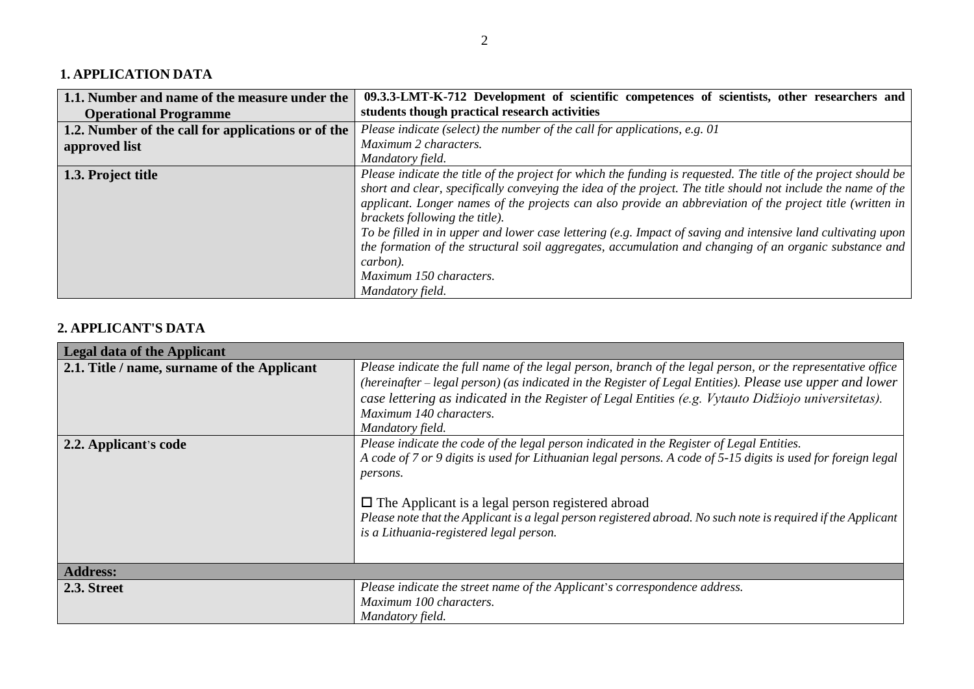# **1. APPLICATION DATA**

| 1.1. Number and name of the measure under the      | 09.3.3-LMT-K-712 Development of scientific competences of scientists, other researchers and                     |
|----------------------------------------------------|-----------------------------------------------------------------------------------------------------------------|
| <b>Operational Programme</b>                       | students though practical research activities                                                                   |
| 1.2. Number of the call for applications or of the | Please indicate (select) the number of the call for applications, e.g. 01                                       |
| approved list                                      | Maximum 2 characters.                                                                                           |
|                                                    | Mandatory field.                                                                                                |
| 1.3. Project title                                 | Please indicate the title of the project for which the funding is requested. The title of the project should be |
|                                                    | short and clear, specifically conveying the idea of the project. The title should not include the name of the   |
|                                                    | applicant. Longer names of the projects can also provide an abbreviation of the project title (written in       |
|                                                    | brackets following the title).                                                                                  |
|                                                    | To be filled in in upper and lower case lettering (e.g. Impact of saving and intensive land cultivating upon    |
|                                                    | the formation of the structural soil aggregates, accumulation and changing of an organic substance and          |
|                                                    | carbon).                                                                                                        |
|                                                    | Maximum 150 characters.                                                                                         |
|                                                    | Mandatory field.                                                                                                |

# **2. APPLICANT'S DATA**

| <b>Legal data of the Applicant</b>          |                                                                                                                                                                                                                                                                                                                                                                                                                                                |
|---------------------------------------------|------------------------------------------------------------------------------------------------------------------------------------------------------------------------------------------------------------------------------------------------------------------------------------------------------------------------------------------------------------------------------------------------------------------------------------------------|
| 2.1. Title / name, surname of the Applicant | Please indicate the full name of the legal person, branch of the legal person, or the representative office<br>(hereinafter – legal person) (as indicated in the Register of Legal Entities). Please use upper and lower<br>case lettering as indicated in the Register of Legal Entities (e.g. Vytauto Didžiojo universitetas).<br>Maximum 140 characters.<br>Mandatory field.                                                                |
| 2.2. Applicant's code                       | Please indicate the code of the legal person indicated in the Register of Legal Entities.<br>A code of 7 or 9 digits is used for Lithuanian legal persons. A code of 5-15 digits is used for foreign legal<br>persons.<br>$\Box$ The Applicant is a legal person registered abroad<br>Please note that the Applicant is a legal person registered abroad. No such note is required if the Applicant<br>is a Lithuania-registered legal person. |
| <b>Address:</b>                             |                                                                                                                                                                                                                                                                                                                                                                                                                                                |
| 2.3. Street                                 | Please indicate the street name of the Applicant's correspondence address.<br>Maximum 100 characters.<br>Mandatory field.                                                                                                                                                                                                                                                                                                                      |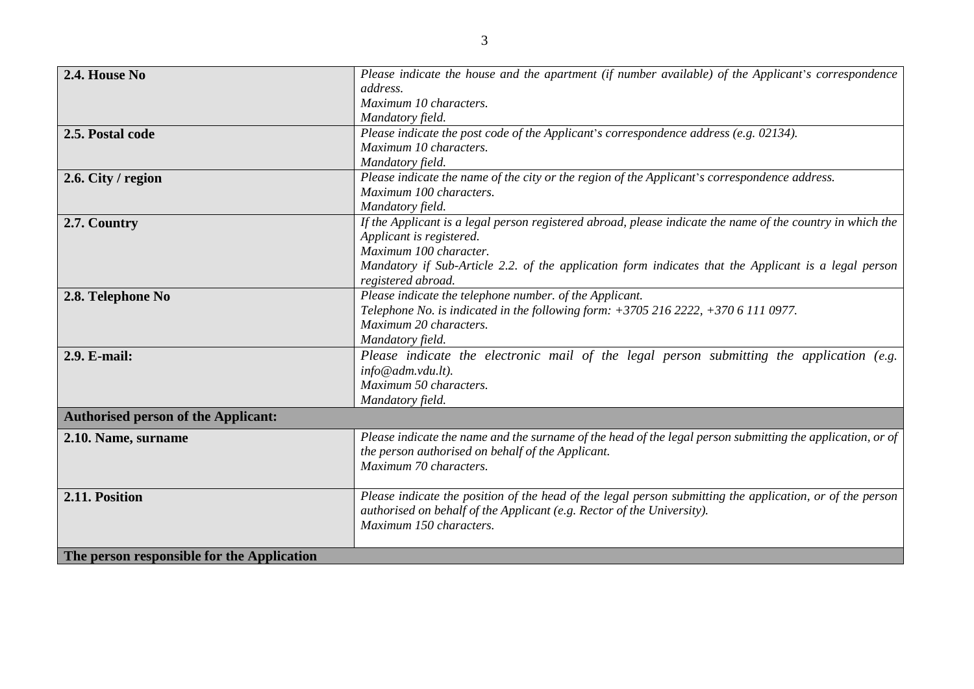| 2.4. House No                              | Please indicate the house and the apartment (if number available) of the Applicant's correspondence        |
|--------------------------------------------|------------------------------------------------------------------------------------------------------------|
|                                            | address.                                                                                                   |
|                                            | Maximum 10 characters.                                                                                     |
|                                            | Mandatory field.                                                                                           |
| 2.5. Postal code                           | Please indicate the post code of the Applicant's correspondence address (e.g. 02134).                      |
|                                            | Maximum 10 characters.                                                                                     |
|                                            | Mandatory field.                                                                                           |
| 2.6. City / region                         | Please indicate the name of the city or the region of the Applicant's correspondence address.              |
|                                            | Maximum 100 characters.                                                                                    |
|                                            | Mandatory field.                                                                                           |
| 2.7. Country                               | If the Applicant is a legal person registered abroad, please indicate the name of the country in which the |
|                                            | Applicant is registered.                                                                                   |
|                                            | Maximum 100 character.                                                                                     |
|                                            | Mandatory if Sub-Article 2.2. of the application form indicates that the Applicant is a legal person       |
|                                            | registered abroad.                                                                                         |
| 2.8. Telephone No                          | Please indicate the telephone number. of the Applicant.                                                    |
|                                            | Telephone No. is indicated in the following form: $+37052162222$ , $+37061110977$ .                        |
|                                            | Maximum 20 characters.                                                                                     |
|                                            | Mandatory field.                                                                                           |
| 2.9. E-mail:                               | Please indicate the electronic mail of the legal person submitting the application (e.g.                   |
|                                            | info@adm.vdu.lt).                                                                                          |
|                                            | Maximum 50 characters.                                                                                     |
|                                            | Mandatory field.                                                                                           |
| <b>Authorised person of the Applicant:</b> |                                                                                                            |
| 2.10. Name, surname                        | Please indicate the name and the surname of the head of the legal person submitting the application, or of |
|                                            | the person authorised on behalf of the Applicant.                                                          |
|                                            | Maximum 70 characters.                                                                                     |
|                                            |                                                                                                            |
| 2.11. Position                             | Please indicate the position of the head of the legal person submitting the application, or of the person  |
|                                            | authorised on behalf of the Applicant (e.g. Rector of the University).                                     |
|                                            | Maximum 150 characters.                                                                                    |
|                                            |                                                                                                            |
| The person responsible for the Application |                                                                                                            |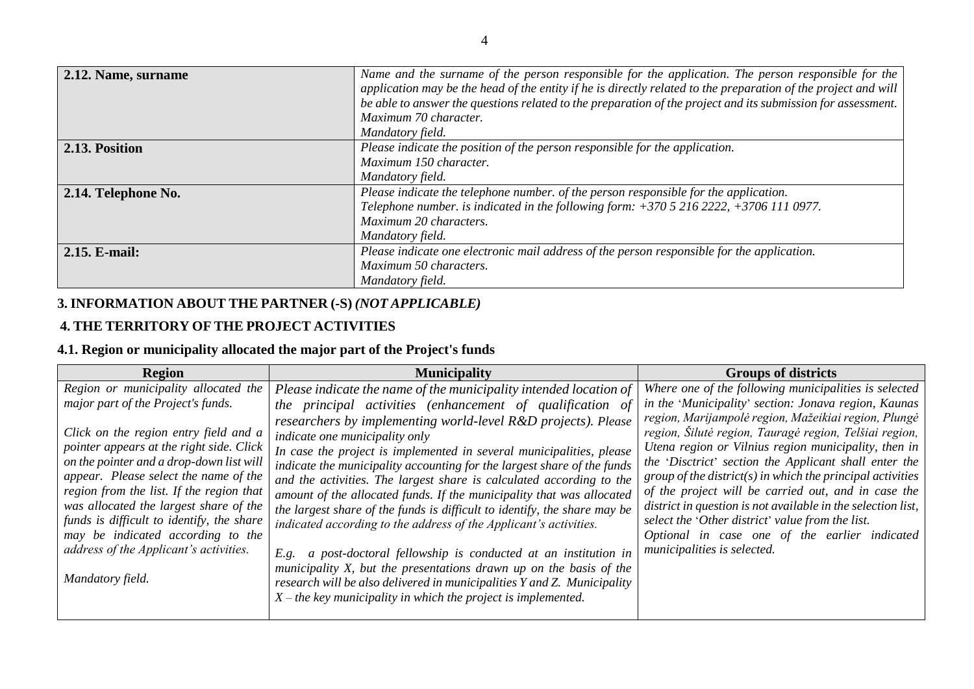| 2.12. Name, surname | Name and the surname of the person responsible for the application. The person responsible for the             |
|---------------------|----------------------------------------------------------------------------------------------------------------|
|                     | application may be the head of the entity if he is directly related to the preparation of the project and will |
|                     | be able to answer the questions related to the preparation of the project and its submission for assessment.   |
|                     | Maximum 70 character.                                                                                          |
|                     | Mandatory field.                                                                                               |
| 2.13. Position      | Please indicate the position of the person responsible for the application.                                    |
|                     | Maximum 150 character.                                                                                         |
|                     | Mandatory field.                                                                                               |
| 2.14. Telephone No. | Please indicate the telephone number. of the person responsible for the application.                           |
|                     | Telephone number. is indicated in the following form: $+37052162222$ , $+37061110977$ .                        |
|                     | Maximum 20 characters.                                                                                         |
|                     | Mandatory field.                                                                                               |
| 2.15. E-mail:       | Please indicate one electronic mail address of the person responsible for the application.                     |
|                     | Maximum 50 characters.                                                                                         |
|                     | Mandatory field.                                                                                               |

# **3. INFORMATION ABOUT THE PARTNER (-S)** *(NOT APPLICABLE)*

# **4. THE TERRITORY OF THE PROJECT ACTIVITIES**

# **4.1. Region or municipality allocated the major part of the Project's funds**

| <b>Region</b>                                                                                                                                                                                                                                                                                                                                                                                                                                                                                      | <b>Municipality</b>                                                                                                                                                                                                                                                                                                                                                                                                                                                                                                                                                                                                                                                                                                                                                                                                                                                                                                                                                         | <b>Groups of districts</b>                                                                                                                                                                                                                                                                                                                                                                                                                                                                                                                                                                                                                                                    |
|----------------------------------------------------------------------------------------------------------------------------------------------------------------------------------------------------------------------------------------------------------------------------------------------------------------------------------------------------------------------------------------------------------------------------------------------------------------------------------------------------|-----------------------------------------------------------------------------------------------------------------------------------------------------------------------------------------------------------------------------------------------------------------------------------------------------------------------------------------------------------------------------------------------------------------------------------------------------------------------------------------------------------------------------------------------------------------------------------------------------------------------------------------------------------------------------------------------------------------------------------------------------------------------------------------------------------------------------------------------------------------------------------------------------------------------------------------------------------------------------|-------------------------------------------------------------------------------------------------------------------------------------------------------------------------------------------------------------------------------------------------------------------------------------------------------------------------------------------------------------------------------------------------------------------------------------------------------------------------------------------------------------------------------------------------------------------------------------------------------------------------------------------------------------------------------|
| Region or municipality allocated the<br>major part of the Project's funds.<br>Click on the region entry field and a<br>pointer appears at the right side. Click<br>on the pointer and a drop-down list will<br>appear. Please select the name of the<br>region from the list. If the region that<br>was allocated the largest share of the<br>funds is difficult to identify, the share<br>may be indicated according to the<br>address of the Applicant's activities.<br>E.g.<br>Mandatory field. | Please indicate the name of the municipality intended location of<br>the principal activities (enhancement of qualification of<br>researchers by implementing world-level R&D projects). Please<br>indicate one municipality only<br>In case the project is implemented in several municipalities, please<br>indicate the municipality accounting for the largest share of the funds<br>and the activities. The largest share is calculated according to the<br>amount of the allocated funds. If the municipality that was allocated<br>the largest share of the funds is difficult to identify, the share may be<br>indicated according to the address of the Applicant's activities.<br>a post-doctoral fellowship is conducted at an institution in<br>municipality X, but the presentations drawn up on the basis of the<br>research will be also delivered in municipalities Y and Z. Municipality<br>$X$ – the key municipality in which the project is implemented. | Where one of the following municipalities is selected<br>in the 'Municipality' section: Jonava region, Kaunas<br>region, Marijampolė region, Mažeikiai region, Plungė<br>region, Šilutė region, Tauragė region, Telšiai region,<br>Utena region or Vilnius region municipality, then in<br>the 'Disctrict' section the Applicant shall enter the<br>group of the district( $s$ ) in which the principal activities<br>of the project will be carried out, and in case the<br>district in question is not available in the selection list,<br>select the 'Other district' value from the list.<br>Optional in case one of the earlier indicated<br>municipalities is selected. |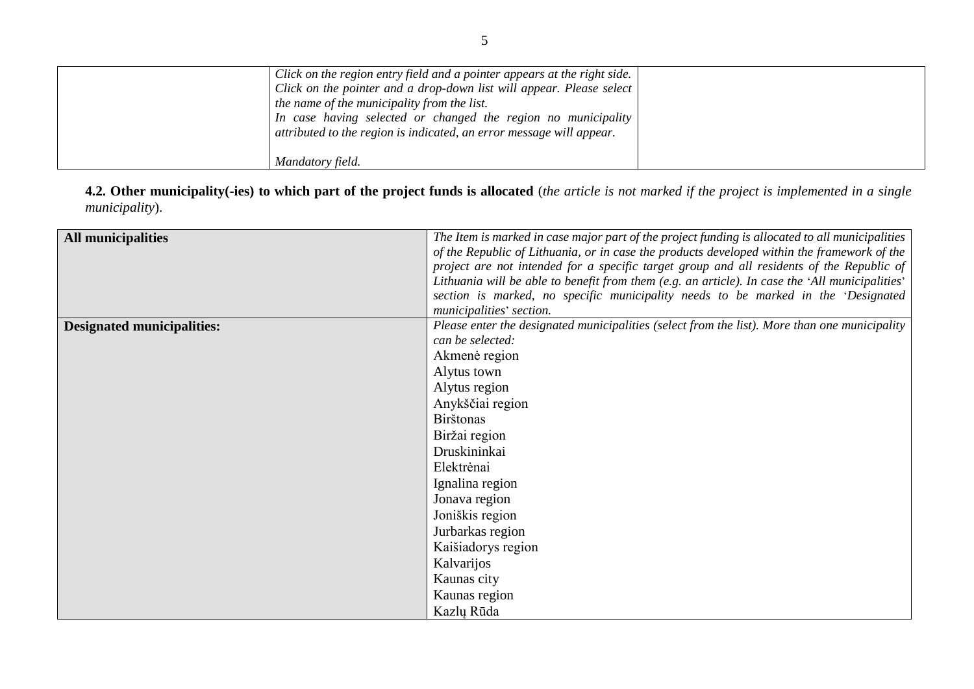| Click on the region entry field and a pointer appears at the right side.<br>Click on the pointer and a drop-down list will appear. Please select<br>the name of the municipality from the list.<br>In case having selected or changed the region no municipality |  |
|------------------------------------------------------------------------------------------------------------------------------------------------------------------------------------------------------------------------------------------------------------------|--|
| attributed to the region is indicated, an error message will appear.<br>Mandatory field.                                                                                                                                                                         |  |

**4.2. Other municipality(-ies) to which part of the project funds is allocated** (*the article is not marked if the project is implemented in a single municipality*).

| <b>All municipalities</b>         | The Item is marked in case major part of the project funding is allocated to all municipalities |
|-----------------------------------|-------------------------------------------------------------------------------------------------|
|                                   | of the Republic of Lithuania, or in case the products developed within the framework of the     |
|                                   | project are not intended for a specific target group and all residents of the Republic of       |
|                                   | Lithuania will be able to benefit from them (e.g. an article). In case the 'All municipalities' |
|                                   | section is marked, no specific municipality needs to be marked in the 'Designated               |
|                                   | municipalities' section.                                                                        |
| <b>Designated municipalities:</b> | Please enter the designated municipalities (select from the list). More than one municipality   |
|                                   | can be selected:                                                                                |
|                                   | Akmenė region                                                                                   |
|                                   | Alytus town                                                                                     |
|                                   | Alytus region                                                                                   |
|                                   | Anykščiai region                                                                                |
|                                   | <b>Birštonas</b>                                                                                |
|                                   | Biržai region                                                                                   |
|                                   | Druskininkai                                                                                    |
|                                   | Elektrėnai                                                                                      |
|                                   | Ignalina region                                                                                 |
|                                   | Jonava region                                                                                   |
|                                   | Joniškis region                                                                                 |
|                                   | Jurbarkas region                                                                                |
|                                   | Kaišiadorys region                                                                              |
|                                   | Kalvarijos                                                                                      |
|                                   | Kaunas city                                                                                     |
|                                   | Kaunas region                                                                                   |
|                                   | Kazlų Rūda                                                                                      |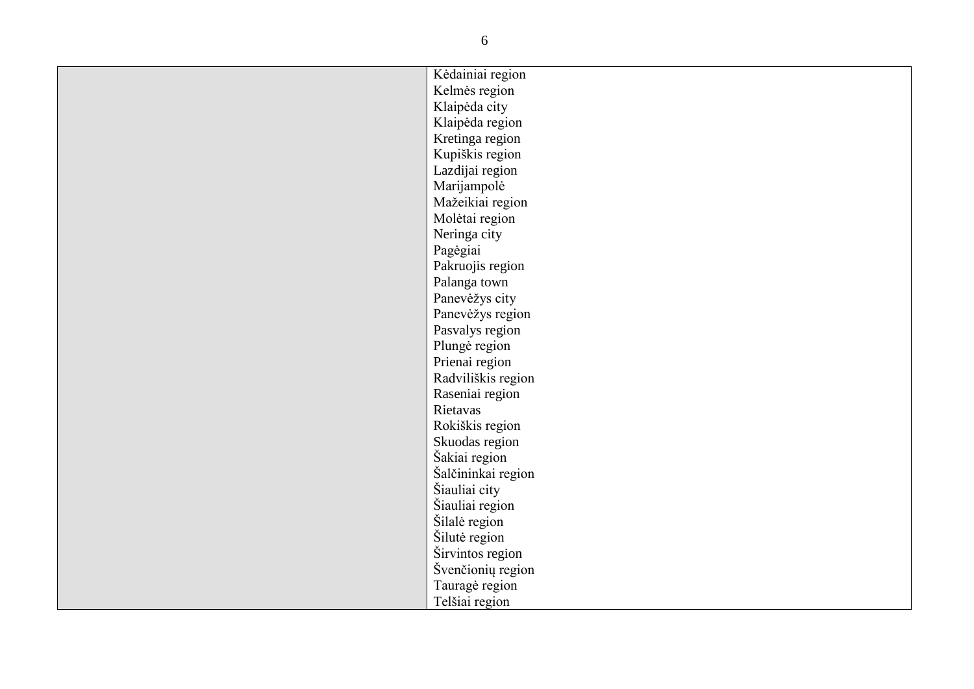| Kėdainiai region   |
|--------------------|
| Kelmės region      |
| Klaipėda city      |
| Klaipėda region    |
| Kretinga region    |
| Kupiškis region    |
| Lazdijai region    |
| Marijampolė        |
| Mažeikiai region   |
| Molėtai region     |
| Neringa city       |
| Pagėgiai           |
| Pakruojis region   |
| Palanga town       |
| Panevėžys city     |
| Panevėžys region   |
| Pasvalys region    |
| Plungė region      |
| Prienai region     |
| Radviliškis region |
| Raseniai region    |
| Rietavas           |
| Rokiškis region    |
| Skuodas region     |
| Šakiai region      |
| Šalčininkai region |
| Šiauliai city      |
| Šiauliai region    |
| Šilalė region      |
| Šilutė region      |
| Širvintos region   |
| Švenčionių region  |
| Tauragė region     |
| Telšiai region     |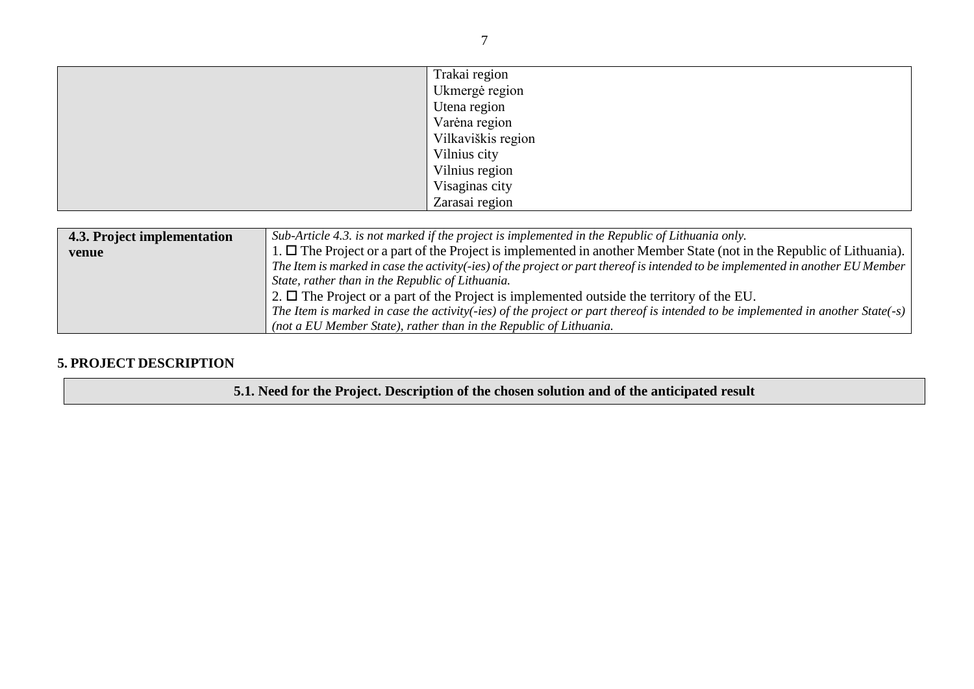|                             | Trakai region                                                                                                                   |  |  |  |  |  |
|-----------------------------|---------------------------------------------------------------------------------------------------------------------------------|--|--|--|--|--|
|                             | Ukmergė region                                                                                                                  |  |  |  |  |  |
|                             | Utena region                                                                                                                    |  |  |  |  |  |
|                             | Varėna region                                                                                                                   |  |  |  |  |  |
|                             | Vilkaviškis region                                                                                                              |  |  |  |  |  |
|                             | Vilnius city                                                                                                                    |  |  |  |  |  |
|                             | Vilnius region                                                                                                                  |  |  |  |  |  |
|                             | Visaginas city                                                                                                                  |  |  |  |  |  |
|                             | Zarasai region                                                                                                                  |  |  |  |  |  |
|                             |                                                                                                                                 |  |  |  |  |  |
| 4.3. Project implementation | Sub-Article 4.3. is not marked if the project is implemented in the Republic of Lithuania only.                                 |  |  |  |  |  |
| venue                       | 1. $\Box$ The Project or a part of the Project is implemented in another Member State (not in the Republic of Lithuania).       |  |  |  |  |  |
|                             | The Item is marked in case the activity(-ies) of the project or part thereof is intended to be implemented in another EU Member |  |  |  |  |  |
|                             | State, rather than in the Republic of Lithuania.                                                                                |  |  |  |  |  |
|                             | 2. $\Box$ The Project or a part of the Project is implemented outside the territory of the EU.                                  |  |  |  |  |  |
|                             |                                                                                                                                 |  |  |  |  |  |

#### *The Item is marked in case the activity(-ies) of the project or part thereof is intended to be implemented in another State(-s) (not a EU Member State), rather than in the Republic of Lithuania.*

## **5. PROJECT DESCRIPTION**

**5.1. Need for the Project. Description of the chosen solution and of the anticipated result**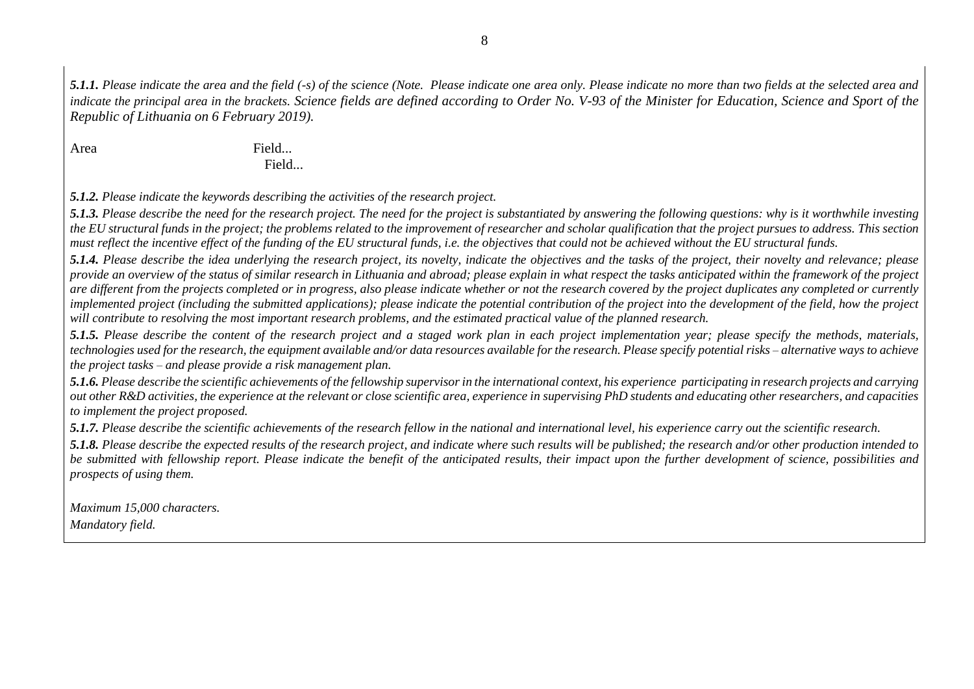*5.1.1. Please indicate the area and the field (-s) of the science (Note. Please indicate one area only. Please indicate no more than two fields at the selected area and indicate the principal area in the brackets. Science fields are defined according to Order No. V-93 of the Minister for Education, Science and Sport of the Republic of Lithuania on 6 February 2019).*

Area Field... Field...

*5.1.2. Please indicate the keywords describing the activities of the research project.*

*5.1.3. Please describe the need for the research project. The need for the project is substantiated by answering the following questions: why is it worthwhile investing the EU structural funds in the project; the problems related to the improvement of researcher and scholar qualification that the project pursues to address. This section must reflect the incentive effect of the funding of the EU structural funds, i.e. the objectives that could not be achieved without the EU structural funds.* 

*5.1.4. Please describe the idea underlying the research project, its novelty, indicate the objectives and the tasks of the project, their novelty and relevance; please provide an overview of the status of similar research in Lithuania and abroad; please explain in what respect the tasks anticipated within the framework of the project are different from the projects completed or in progress, also please indicate whether or not the research covered by the project duplicates any completed or currently implemented project (including the submitted applications); please indicate the potential contribution of the project into the development of the field, how the project will contribute to resolving the most important research problems, and the estimated practical value of the planned research.* 

*5.1.5. Please describe the content of the research project and a staged work plan in each project implementation year; please specify the methods, materials, technologies used for the research, the equipment available and/or data resources available for the research. Please specify potential risks – alternative ways to achieve the project tasks* – *and please provide a risk management plan.* 

*5.1.6. Please describe the scientific achievements of the fellowship supervisorin the international context, his experience participating in research projects and carrying out other R&D activities, the experience at the relevant or close scientific area, experience in supervising PhD students and educating other researchers, and capacities to implement the project proposed.* 

*5.1.7. Please describe the scientific achievements of the research fellow in the national and international level, his experience carry out the scientific research.*

*5.1.8. Please describe the expected results of the research project, and indicate where such results will be published; the research and/or other production intended to be submitted with fellowship report. Please indicate the benefit of the anticipated results, their impact upon the further development of science, possibilities and prospects of using them.* 

*Maximum 15,000 characters. Mandatory field.*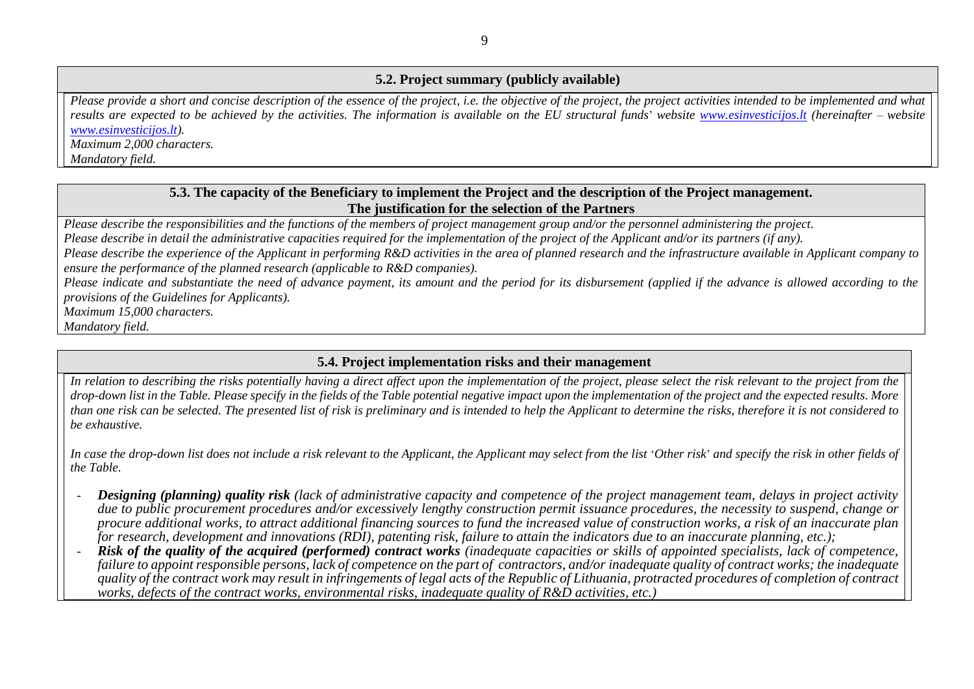#### **5.2. Project summary (publicly available)**

*Please provide a short and concise description of the essence of the project, i.e. the objective of the project, the project activities intended to be implemented and what results are expected to be achieved by the activities. The information is available on the [EU](http://es/) structural funds*' *website [www.esinvesticijos.lt](http://www.esinvesticijos.lt/) (hereinafter* – *website [www.esinvesticijos.lt\)](http://www.esinvesticijos.lt/).*

*Maximum 2,000 characters.*

*Mandatory field.*

### **5.3. The capacity of the Beneficiary to implement the Project and the description of the Project management. The justification for the selection of the Partners**

*Please describe the responsibilities and the functions of the members of project management group and/or the personnel administering the project.*

*Please describe in detail the administrative capacities required for the implementation of the project of the Applicant and/or its partners (if any).*

*Please describe the experience of the Applicant in performing R&D activities in the area of planned research and the infrastructure available in Applicant company to ensure the performance of the planned research (applicable to R&D companies).*

*Please indicate and substantiate the need of advance payment, its amount and the period for its disbursement (applied if the advance is allowed according to the provisions of the Guidelines for Applicants).* 

*Maximum 15,000 characters.* 

*Mandatory field.*

### **5.4. Project implementation risks and their management**

In relation to describing the risks potentially having a direct affect upon the implementation of the project, please select the risk relevant to the project from the *drop-down list in the Table. Please specify in the fields of the Table potential negative impact upon the implementation of the project and the expected results. More than one risk can be selected. The presented list of risk is preliminary and is intended to help the Applicant to determine the risks, therefore it is not considered to be exhaustive.*

In case the drop-down list does not include a risk relevant to the Applicant, the Applicant may select from the list *Other risk'* and specify the risk in other fields of *the Table.* 

- *Designing (planning) quality risk (lack of administrative capacity and competence of the project management team, delays in project activity due to public procurement procedures and/or excessively lengthy construction permit issuance procedures, the necessity to suspend, change or procure additional works, to attract additional financing sources to fund the increased value of construction works, a risk of an inaccurate plan for research, development and innovations (RDI), patenting risk, failure to attain the indicators due to an inaccurate planning, etc.);*
- *Risk of the quality of the acquired (performed) contract works (inadequate capacities or skills of appointed specialists, lack of competence, failure to appoint responsible persons, lack of competence on the part of contractors, and/or inadequate quality of contract works; the inadequate quality of the contract work may result in infringements of legal acts of the Republic of Lithuania, protracted procedures of completion of contract works, defects of the contract works, environmental risks, inadequate quality of R&D activities, etc.)*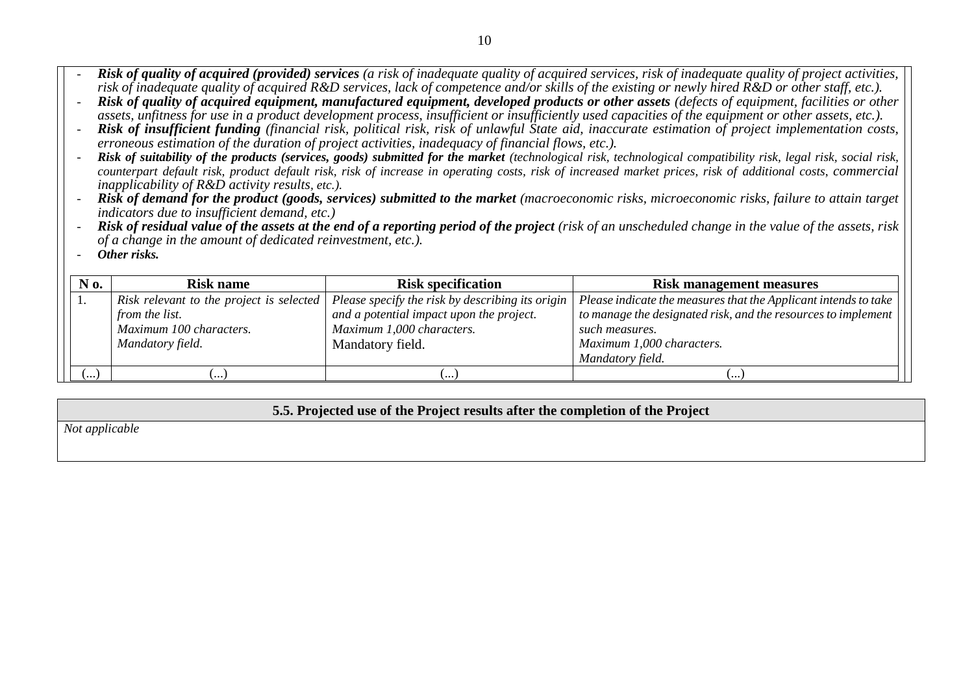- *Risk of quality of acquired (provided) services (a risk of inadequate quality of acquired services, risk of inadequate quality of project activities, risk of inadequate quality of acquired R&D services, lack of competence and/or skills of the existing or newly hired R&D or other staff, etc.).*
- *Risk of quality of acquired equipment, manufactured equipment, developed products or other assets (defects of equipment, facilities or other assets, unfitness for use in a product development process, insufficient or insufficiently used capacities of the equipment or other assets, etc.).*
- *Risk of insufficient funding (financial risk, political risk, risk of unlawful State aid, inaccurate estimation of project implementation costs, erroneous estimation of the duration of project activities, inadequacy of financial flows, etc.).*
- **Risk of suitability of the products (services, goods) submitted for the market** (technological risk, technological compatibility risk, legal risk, social risk, *counterpart default risk, product default risk, risk of increase in operating costs, risk of increased market prices, risk of additional costs*, *commercial inapplicability of R&D activity results, etc.).*
- *Risk of demand for the product (goods, services) submitted to the market (macroeconomic risks, microeconomic risks, failure to attain target indicators due to insufficient demand, etc.)*
- *Risk of residual value of the assets at the end of a reporting period of the project (risk of an unscheduled change in the value of the assets, risk of a change in the amount of dedicated reinvestment, etc.).*
- *Other risks.*

| N 0. | <b>Risk specification</b><br><b>Risk name</b>        |                                                  | <b>Risk management measures</b>                                 |  |  |
|------|------------------------------------------------------|--------------------------------------------------|-----------------------------------------------------------------|--|--|
|      | Risk relevant to the project is selected             | Please specify the risk by describing its origin | Please indicate the measures that the Applicant intends to take |  |  |
|      | from the list.                                       | and a potential impact upon the project.         | to manage the designated risk, and the resources to implement   |  |  |
|      | Maximum 100 characters.<br>Maximum 1,000 characters. |                                                  | such measures.                                                  |  |  |
|      | Mandatory field.                                     | Mandatory field.                                 | Maximum 1,000 characters.                                       |  |  |
|      |                                                      |                                                  | Mandatory field.                                                |  |  |
| .…ا  | $\cdots$                                             | .                                                | $\cdots$                                                        |  |  |

#### **5.5. Projected use of the Project results after the completion of the Project**

*Not applicable*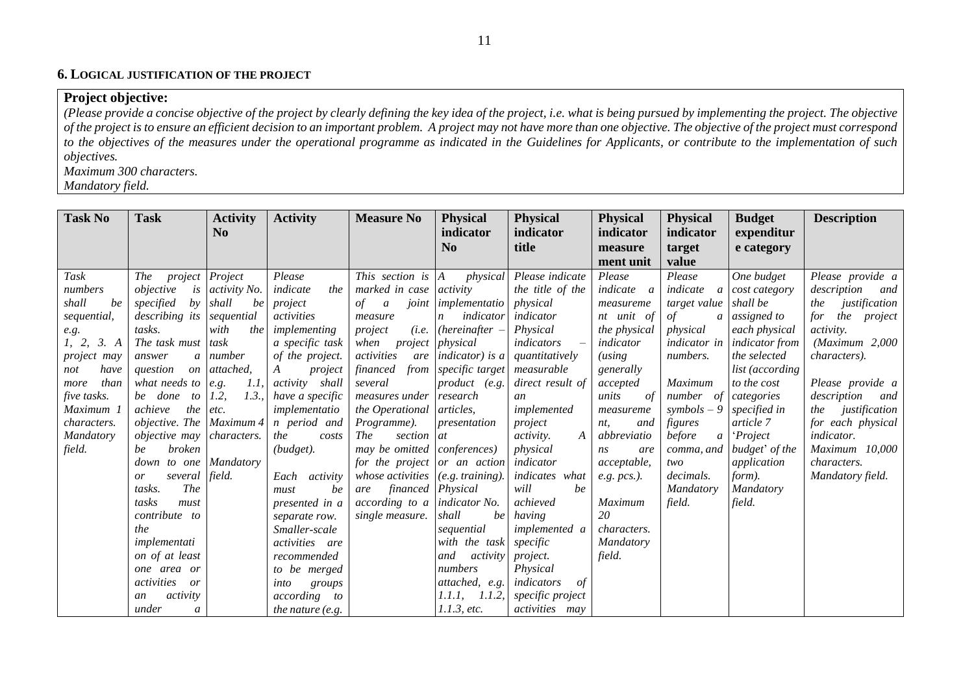#### **6. LOGICAL JUSTIFICATION OF THE PROJECT**

### **Project objective:**

*(Please provide a concise objective of the project by clearly defining the key idea of the project, i.e. what is being pursued by implementing the project. The objective of the project is to ensure an efficient decision to an important problem. A project may not have more than one objective. The objective of the project must correspond to the objectives of the measures under the operational programme as indicated in the Guidelines for Applicants, or contribute to the implementation of such objectives.* 

*Maximum 300 characters.* 

*Mandatory field.*

| <b>Task No</b>     | <b>Task</b>               | <b>Activity</b>     | <b>Activity</b>       | <b>Measure No</b>               | <b>Physical</b>      | <b>Physical</b>       | <b>Physical</b>     | <b>Physical</b>          | <b>Budget</b>   | <b>Description</b>   |
|--------------------|---------------------------|---------------------|-----------------------|---------------------------------|----------------------|-----------------------|---------------------|--------------------------|-----------------|----------------------|
|                    |                           | N <sub>0</sub>      |                       |                                 | indicator            | indicator             | indicator           | indicator                | expenditur      |                      |
|                    |                           |                     |                       |                                 | $\bf No$             | title                 | measure             | target                   | e category      |                      |
|                    |                           |                     |                       |                                 |                      |                       | ment unit           | value                    |                 |                      |
| Task               | <i>The</i><br>project     | Project             | Please                | This section is A               | physical             | Please indicate       | Please              | Please                   | One budget      | Please provide a     |
| numbers            | objective<br>is           | <i>activity No.</i> | the<br>indicate       | marked in case activity         |                      | the title of the      | indicate<br>a       | indicate<br>a            | cost category   | description<br>and   |
| shall<br>be        | specified<br>by           | shall<br>be         | project               | of<br>$\boldsymbol{a}$<br>joint | implementatio        | physical              | measureme           | target value             | shall be        | justification<br>the |
| sequential,        | describing its            | sequential          | activities            | measure                         | indicator<br>n       | indicator             | nt unit of          | of<br>a                  | assigned to     | the project<br>for   |
| e.g.               | tasks.                    | with<br>the         | implementing          | project                         | $(i.e.$ (hereinafter | Physical              | <i>the physical</i> | physical                 | each physical   | <i>activity.</i>     |
| 1, 2, 3. A         | The task must             | task                | a specific task       | project<br>when                 | physical             | indicators            | indicator           | indicator in             | indicator from  | (Maximum 2,000)      |
| <i>project may</i> | answer                    | a number            | of the project.       | activities<br>are               | indicator) is a      | quantitatively        | $(using$            | numbers.                 | the selected    | <i>characters</i> ). |
| have<br>not        | question<br>on            | attached,           | A<br>project          | financed<br>from                | specific target      | measurable            | generally           |                          | list (according |                      |
| than<br>more       | what needs to             | 1.1<br>e.g.         | <i>activity</i> shall | several                         | product (e.g.        | direct result of      | accepted            | Maximum                  | to the cost     | Please provide a     |
| five tasks.        | be<br>done<br>to          | 1.3.<br>1.2         | have a specific       | measures under                  | research             | an                    | units<br>-of        | number<br>of             | categories      | description<br>and   |
| Maximum 1          | achieve<br>the            | etc.                | implementatio         | the Operational                 | <i>articles,</i>     | implemented           | measureme           | $s$ <i>ymbols</i> – 9    | specified in    | justification<br>the |
| <i>characters.</i> | objective. The Maximum 4  |                     | n period and          | <i>Programme</i> ).             | presentation         | project               | and<br>nt,          | figures                  | article 7       | for each physical    |
| Mandatory          | <i>objective may</i>      | <i>characters.</i>  | the<br>costs          | <b>The</b><br>section           | at                   | activity.<br>$\bm{A}$ | abbreviatio         | before<br>$\mathfrak{a}$ | <i>'Project</i> | indicator.           |
| field.             | <i>broken</i><br>be       |                     | (budget).             | may be omitted                  | conferences)         | physical              | ns<br>are           | comma, and               | budget' of the  | Maximum 10,000       |
|                    | down to one               | Mandatory           |                       | for the project or an action    |                      | indicator             | acceptable,         | two                      | application     | <i>characters.</i>   |
|                    | several<br>or             | field.              | Each activity         | whose activities                | (e.g. training).     | indicates what        | $e.g.$ pcs.).       | decimals.                | form).          | Mandatory field.     |
|                    | The<br>tasks.             |                     | be<br>must            | financed Physical<br>are        |                      | will<br>be            |                     | Mandatory                | Mandatory       |                      |
|                    | tasks<br>must             |                     | presented in a        | according to a                  | indicator No.        | achieved              | Maximum             | field.                   | field.          |                      |
|                    | contribute to             |                     | separate row.         | single measure.                 | shall<br>be          | having                | 20                  |                          |                 |                      |
|                    | the                       |                     | Smaller-scale         |                                 | sequential           | implemented a         | <i>characters.</i>  |                          |                 |                      |
|                    | implementati              |                     | <i>activities</i> are |                                 | with the task        | specific              | Mandatory           |                          |                 |                      |
|                    | on of at least            |                     | recommended           |                                 | and<br>activity      | project.              | field.              |                          |                 |                      |
|                    | one area or               |                     | to be merged          |                                 | numbers              | Physical              |                     |                          |                 |                      |
|                    | activities<br>or          |                     | into<br>groups        |                                 | attached, e.g.       | indicators<br>-of     |                     |                          |                 |                      |
|                    | activity<br>an            |                     | <i>according</i> to   |                                 | 1.1.1, 1.1.2,        | specific project      |                     |                          |                 |                      |
|                    | under<br>$\boldsymbol{a}$ |                     | the nature (e.g.      |                                 | 1.1.3, etc.          | <i>activities</i> may |                     |                          |                 |                      |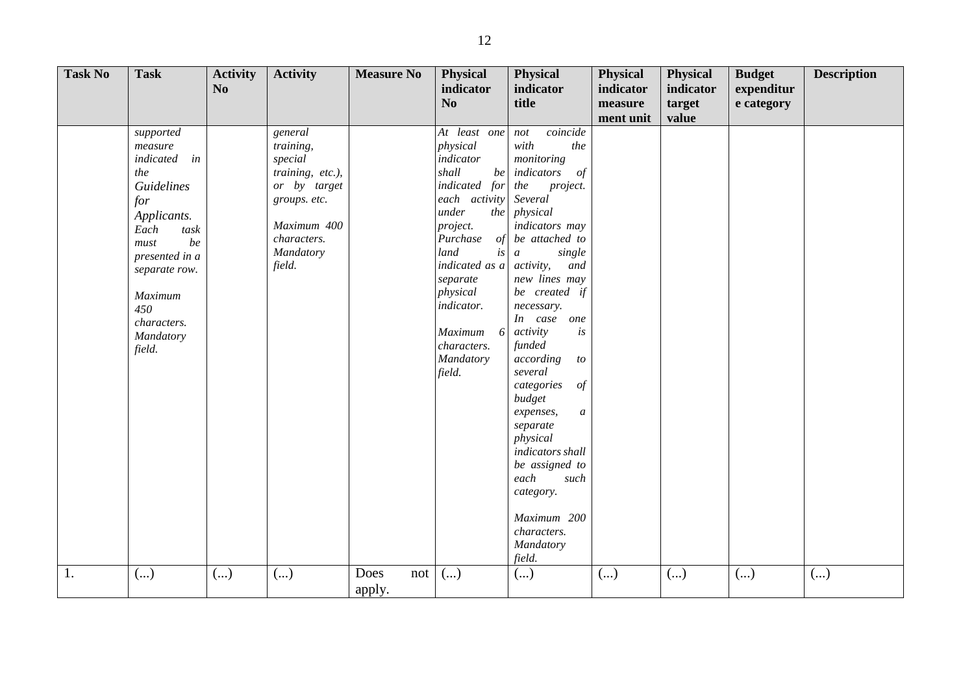| <b>Task No</b> | <b>Task</b>                                                                                                                                                                                                 | <b>Activity</b><br>$\mathbf{N}\mathbf{0}$ | <b>Activity</b>                                                                                                                          | <b>Measure No</b>     | Physical<br>indicator<br>N <sub>o</sub>                                                                                                                                                                                                                          | Physical<br>indicator<br>title                                                                                                                                                                                                                                                                                                                                                                                                                                                                                                                         | <b>Physical</b><br>indicator<br>measure<br>ment unit | <b>Physical</b><br>indicator<br>target<br>value | <b>Budget</b><br>expenditur<br>e category | <b>Description</b> |
|----------------|-------------------------------------------------------------------------------------------------------------------------------------------------------------------------------------------------------------|-------------------------------------------|------------------------------------------------------------------------------------------------------------------------------------------|-----------------------|------------------------------------------------------------------------------------------------------------------------------------------------------------------------------------------------------------------------------------------------------------------|--------------------------------------------------------------------------------------------------------------------------------------------------------------------------------------------------------------------------------------------------------------------------------------------------------------------------------------------------------------------------------------------------------------------------------------------------------------------------------------------------------------------------------------------------------|------------------------------------------------------|-------------------------------------------------|-------------------------------------------|--------------------|
|                | supported<br>measure<br>indicated<br>in<br>the<br>Guidelines<br>for<br>Applicants.<br>Each<br>task<br>be<br>must<br>presented in a<br>separate row.<br>Maximum<br>450<br>characters.<br>Mandatory<br>field. |                                           | general<br>training,<br>special<br>training, etc.),<br>or by target<br>groups. etc.<br>Maximum 400<br>characters.<br>Mandatory<br>field. |                       | At least one<br>physical<br>indicator<br>shall<br>be<br>indicated for<br>each activity<br>under<br>the<br>project.<br>Purchase<br>of<br>land<br>is<br>indicated as a<br>separate<br>physical<br>indicator.<br>Maximum<br>6<br>characters.<br>Mandatory<br>field. | coincide<br>not<br>with<br>the<br>monitoring<br>indicators<br>of<br>the<br>project.<br>Several<br>physical<br>indicators may<br>be attached to<br>single<br>$\boldsymbol{a}$<br>activity,<br>and<br>new lines may<br>be created if<br>necessary.<br>In case<br>one<br>activity<br>is<br>funded<br>according<br>$\it to$<br>several<br>categories<br>$\iota$<br>budget<br>expenses,<br>$\boldsymbol{a}$<br>separate<br>physical<br>indicators shall<br>be assigned to<br>each<br>such<br>category.<br>Maximum 200<br>characters.<br>Mandatory<br>field. |                                                      |                                                 |                                           |                    |
| 1.             | ()                                                                                                                                                                                                          | ()                                        | $\left( \ldots \right)$                                                                                                                  | Does<br>not<br>apply. | $\left( \ldots \right)$                                                                                                                                                                                                                                          | ()                                                                                                                                                                                                                                                                                                                                                                                                                                                                                                                                                     | ()                                                   | ()                                              | ()                                        | ()                 |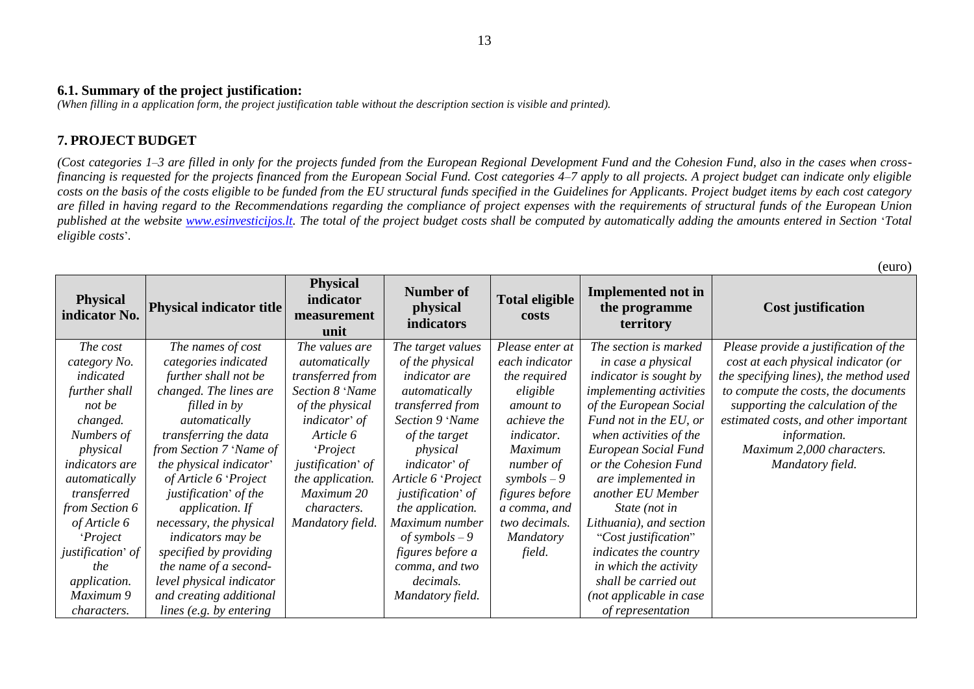#### 13

#### **6.1. Summary of the project justification:**

*(When filling in a application form, the project justification table without the description section is visible and printed).*

## **7. PROJECT BUDGET**

*(Cost categories 1–3 are filled in only for the projects funded from the European Regional Development Fund and the Cohesion Fund, also in the cases when crossfinancing is requested for the projects financed from the European Social Fund. Cost categories 4–7 apply to all projects. A project budget can indicate only eligible costs on the basis of the costs eligible to be funded from the EU structural funds specified in the Guidelines for Applicants. Project budget items by each cost category are filled in having regard to the Recommendations regarding the compliance of project expenses with the requirements of structural funds of the European Union published at the website [www.esinvesticijos.lt.](http://www.esinvesticijos.lt/) The total of the project budget costs shall be computed by automatically adding the amounts entered in Section* '*Total eligible costs*'*.*

 $(\omega_{\text{max}})$ 

|                                  |                                 |                                                     |                                                   |                                |                                                         | $($ Cul $\cup$                         |
|----------------------------------|---------------------------------|-----------------------------------------------------|---------------------------------------------------|--------------------------------|---------------------------------------------------------|----------------------------------------|
| <b>Physical</b><br>indicator No. | <b>Physical indicator title</b> | <b>Physical</b><br>indicator<br>measurement<br>unit | <b>Number of</b><br>physical<br><b>indicators</b> | <b>Total eligible</b><br>costs | <b>Implemented not in</b><br>the programme<br>territory | <b>Cost justification</b>              |
| The cost                         | The names of cost               | The values are                                      | The target values                                 | Please enter at                | The section is marked                                   | Please provide a justification of the  |
| category No.                     | categories indicated            | automatically                                       | of the physical                                   | each indicator                 | in case a physical                                      | cost at each physical indicator (or    |
| indicated                        | further shall not be            | transferred from                                    | <i>indicator</i> are                              | the required                   | <i>indicator is sought by</i>                           | the specifying lines), the method used |
| further shall                    | changed. The lines are          | Section 8 'Name                                     | <i>automatically</i>                              | eligible                       | <i>implementing activities</i>                          | to compute the costs, the documents    |
| not be                           | filled in by                    | of the physical                                     | transferred from                                  | amount to                      | of the European Social                                  | supporting the calculation of the      |
| changed.                         | automatically                   | indicator' of                                       | Section 9 'Name                                   | achieve the                    | Fund not in the EU, or                                  | estimated costs, and other important   |
| Numbers of                       | transferring the data           | Article 6                                           | of the target                                     | <i>indicator.</i>              | when activities of the                                  | information.                           |
| physical                         | from Section 7 'Name of         | <i>Project</i>                                      | physical                                          | <b>Maximum</b>                 | European Social Fund                                    | Maximum 2,000 characters.              |
| <i>indicators are</i>            | the physical indicator'         | justification' of                                   | indicator' of                                     | number of                      | or the Cohesion Fund                                    | Mandatory field.                       |
| automatically                    | of Article 6 'Project           | the application.                                    | Article 6 'Project                                | symbols $-9$                   | are implemented in                                      |                                        |
| transferred                      | justification' of the           | Maximum 20                                          | justification' of                                 | <i>figures before</i>          | another EU Member                                       |                                        |
| from Section 6                   | application. If                 | <i>characters.</i>                                  | the application.                                  | a comma, and                   | State (not in                                           |                                        |
| of Article 6                     | necessary, the physical         | Mandatory field.                                    | Maximum number                                    | two decimals.                  | Lithuania), and section                                 |                                        |
| <i>Project</i>                   | <i>indicators may be</i>        |                                                     | of symbols $-9$                                   | <b>Mandatory</b>               | "Cost justification"                                    |                                        |
| justification' of                | specified by providing          |                                                     | figures before a                                  | field.                         | indicates the country                                   |                                        |
| the                              | the name of a second-           |                                                     | comma, and two                                    |                                | in which the activity                                   |                                        |
| application.                     | level physical indicator        |                                                     | decimals.                                         |                                | shall be carried out                                    |                                        |
| Maximum 9                        | and creating additional         |                                                     | Mandatory field.                                  |                                | (not applicable in case                                 |                                        |
| <i>characters.</i>               | lines (e.g. by entering         |                                                     |                                                   |                                | of representation                                       |                                        |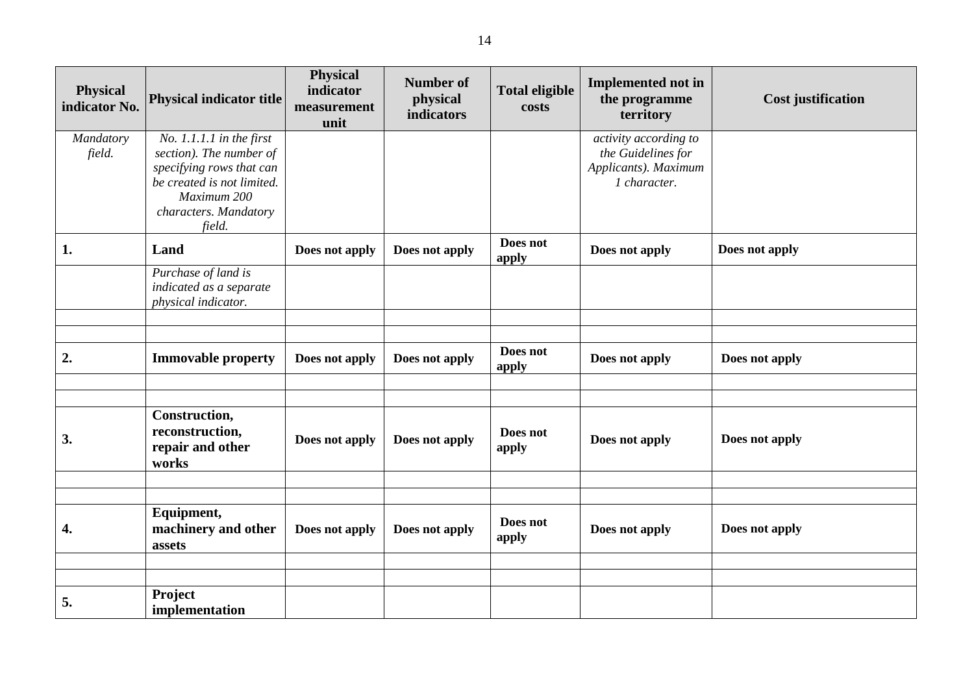| <b>Physical</b><br>indicator No. | <b>Physical indicator title</b>                                                                                                                                   | <b>Physical</b><br>indicator<br>measurement<br>unit | <b>Number of</b><br>physical<br>indicators | <b>Total eligible</b><br>costs | <b>Implemented not in</b><br>the programme<br>territory                             | <b>Cost justification</b> |
|----------------------------------|-------------------------------------------------------------------------------------------------------------------------------------------------------------------|-----------------------------------------------------|--------------------------------------------|--------------------------------|-------------------------------------------------------------------------------------|---------------------------|
| Mandatory<br>field.              | $No. 1.1.1.1$ in the first<br>section). The number of<br>specifying rows that can<br>be created is not limited.<br>Maximum 200<br>characters. Mandatory<br>field. |                                                     |                                            |                                | activity according to<br>the Guidelines for<br>Applicants). Maximum<br>1 character. |                           |
| 1.                               | Land                                                                                                                                                              | Does not apply                                      | Does not apply                             | Does not<br>apply              | Does not apply                                                                      | Does not apply            |
|                                  | Purchase of land is<br>indicated as a separate<br>physical indicator.                                                                                             |                                                     |                                            |                                |                                                                                     |                           |
|                                  |                                                                                                                                                                   |                                                     |                                            |                                |                                                                                     |                           |
| 2.                               | <b>Immovable property</b>                                                                                                                                         | Does not apply                                      | Does not apply                             | Does not<br>apply              | Does not apply                                                                      | Does not apply            |
|                                  |                                                                                                                                                                   |                                                     |                                            |                                |                                                                                     |                           |
| 3.                               | Construction,<br>reconstruction,<br>repair and other<br>works                                                                                                     | Does not apply                                      | Does not apply                             | Does not<br>apply              | Does not apply                                                                      | Does not apply            |
|                                  |                                                                                                                                                                   |                                                     |                                            |                                |                                                                                     |                           |
| 4.                               | Equipment,<br>machinery and other<br>assets                                                                                                                       | Does not apply                                      | Does not apply                             | Does not<br>apply              | Does not apply                                                                      | Does not apply            |
|                                  |                                                                                                                                                                   |                                                     |                                            |                                |                                                                                     |                           |
| 5.                               | Project<br>implementation                                                                                                                                         |                                                     |                                            |                                |                                                                                     |                           |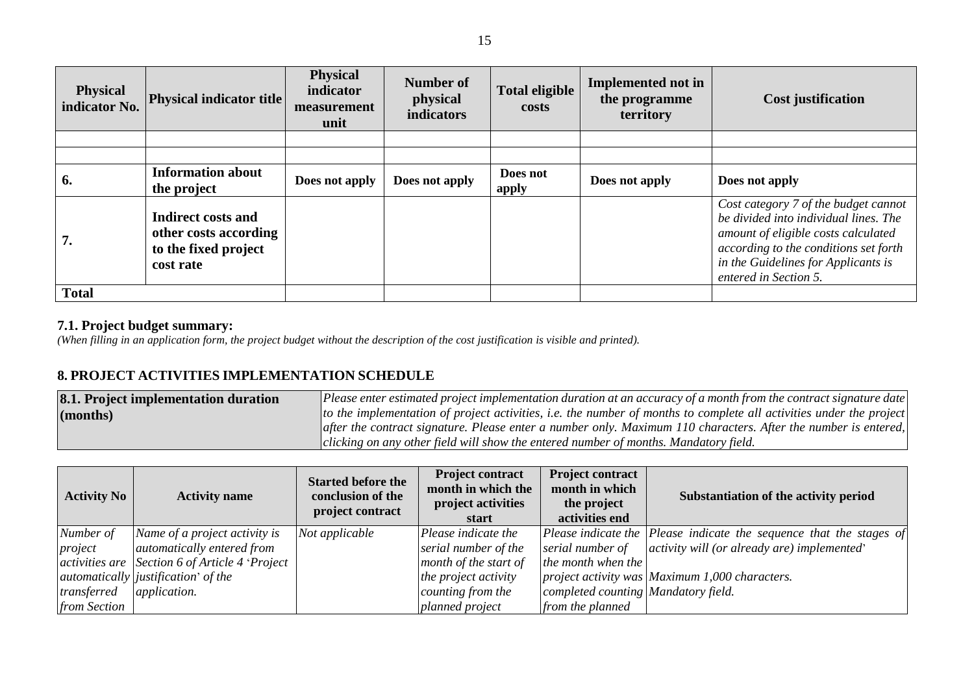| <b>Physical</b><br>indicator No. | <b>Physical indicator title</b>                                                         | <b>Physical</b><br>indicator<br>measurement<br>unit | <b>Number of</b><br>physical<br>indicators | <b>Total eligible</b><br>costs | Implemented not in<br>the programme<br>territory | <b>Cost justification</b>                                                                                                                                                                                                     |
|----------------------------------|-----------------------------------------------------------------------------------------|-----------------------------------------------------|--------------------------------------------|--------------------------------|--------------------------------------------------|-------------------------------------------------------------------------------------------------------------------------------------------------------------------------------------------------------------------------------|
|                                  |                                                                                         |                                                     |                                            |                                |                                                  |                                                                                                                                                                                                                               |
|                                  |                                                                                         |                                                     |                                            |                                |                                                  |                                                                                                                                                                                                                               |
| 6.                               | <b>Information about</b><br>the project                                                 | Does not apply                                      | Does not apply                             | Does not<br>apply              | Does not apply                                   | Does not apply                                                                                                                                                                                                                |
| 7.                               | <b>Indirect costs and</b><br>other costs according<br>to the fixed project<br>cost rate |                                                     |                                            |                                |                                                  | Cost category 7 of the budget cannot<br>be divided into individual lines. The<br>amount of eligible costs calculated<br>according to the conditions set forth<br>in the Guidelines for Applicants is<br>entered in Section 5. |
| <b>Total</b>                     |                                                                                         |                                                     |                                            |                                |                                                  |                                                                                                                                                                                                                               |

#### **7.1. Project budget summary:**

*(When filling in an application form, the project budget without the description of the cost justification is visible and printed).*

# **8. PROJECT ACTIVITIES IMPLEMENTATION SCHEDULE**

| <b>8.1. Project implementation duration</b> | Please enter estimated project implementation duration at an accuracy of a month from the contract signature date   |
|---------------------------------------------|---------------------------------------------------------------------------------------------------------------------|
| (months)                                    | to the implementation of project activities, i.e. the number of months to complete all activities under the project |
|                                             | after the contract signature. Please enter a number only. Maximum 110 characters. After the number is entered,      |
|                                             | clicking on any other field will show the entered number of months. Mandatory field.                                |

| <b>Activity No</b> | <b>Activity name</b>                           | <b>Started before the</b><br>conclusion of the<br>project contract | <b>Project contract</b><br>month in which the<br>project activities<br>start | <b>Project contract</b><br>month in which<br>the project<br>activities end | Substantiation of the activity period                                               |
|--------------------|------------------------------------------------|--------------------------------------------------------------------|------------------------------------------------------------------------------|----------------------------------------------------------------------------|-------------------------------------------------------------------------------------|
| Number of          | Name of a project activity is                  | Not applicable                                                     | Please indicate the                                                          |                                                                            | $\vert$ Please indicate the $\vert$ Please indicate the sequence that the stages of |
| project            | <i>automatically entered from</i>              |                                                                    | serial number of the                                                         | serial number of                                                           | activity will (or already are) implemented'                                         |
|                    | activities are Section 6 of Article 4 'Project |                                                                    | month of the start of                                                        | the month when the                                                         |                                                                                     |
|                    | automatically   justification' of the          |                                                                    | the project activity                                                         |                                                                            | project activity was Maximum 1,000 characters.                                      |
| transferred        | <i>application.</i>                            |                                                                    | counting from the                                                            | completed counting Mandatory field.                                        |                                                                                     |
| from Section       |                                                |                                                                    | planned project                                                              | from the planned                                                           |                                                                                     |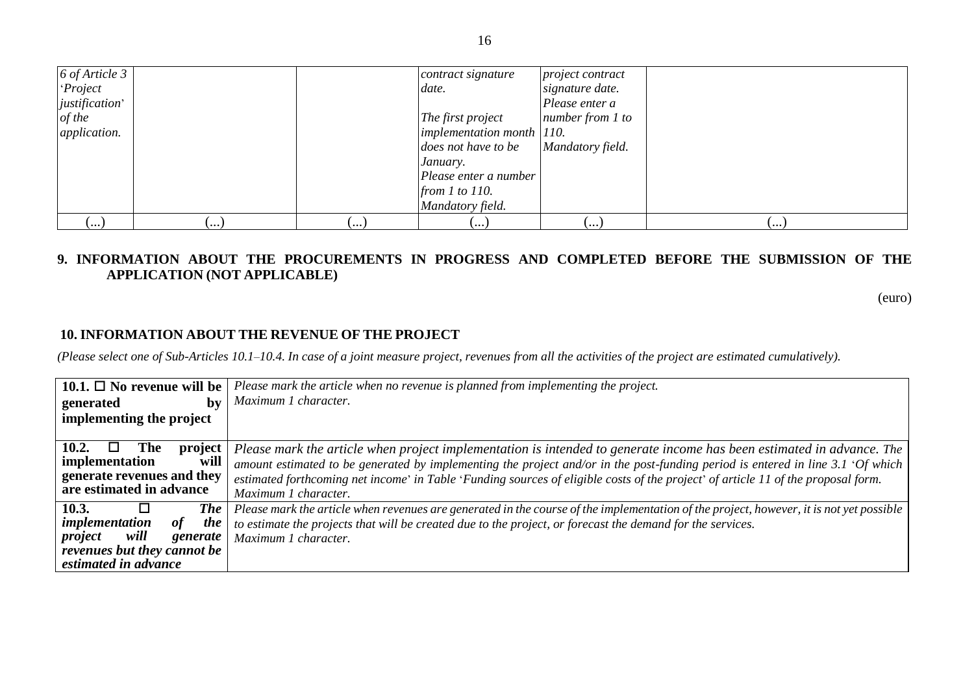| 6 of Article 3         |     |     | contract signature        | project contract |            |
|------------------------|-----|-----|---------------------------|------------------|------------|
| Project                |     |     | date.                     | signature date.  |            |
| <i>justification</i> ' |     |     |                           | Please enter a   |            |
| of the                 |     |     | The first project         | number from 1 to |            |
| <i>application.</i>    |     |     | implementation month 110. |                  |            |
|                        |     |     | does not have to be       | Mandatory field. |            |
|                        |     |     | January.                  |                  |            |
|                        |     |     | Please enter a number     |                  |            |
|                        |     |     | from $1$ to $110$ .       |                  |            |
|                        |     |     | Mandatory field.          |                  |            |
| (…                     | (…) | (…, | (…                        | (…               | ر • • • با |

## **9. INFORMATION ABOUT THE PROCUREMENTS IN PROGRESS AND COMPLETED BEFORE THE SUBMISSION OF THE APPLICATION (NOT APPLICABLE)**

(euro)

### **10. INFORMATION ABOUT THE REVENUE OF THE PROJECT**

*(Please select one of Sub-Articles 10.1–10.4. In case of a joint measure project, revenues from all the activities of the project are estimated cumulatively).*

| 10.1. $\Box$ No revenue will be                                                                                                          | Please mark the article when no revenue is planned from implementing the project.                                                                                                                                                                                                                                                                                                               |
|------------------------------------------------------------------------------------------------------------------------------------------|-------------------------------------------------------------------------------------------------------------------------------------------------------------------------------------------------------------------------------------------------------------------------------------------------------------------------------------------------------------------------------------------------|
| generated<br>bv                                                                                                                          | Maximum 1 character.                                                                                                                                                                                                                                                                                                                                                                            |
| implementing the project                                                                                                                 |                                                                                                                                                                                                                                                                                                                                                                                                 |
| 10.2.<br><b>The</b><br>project<br>implementation<br>will<br>generate revenues and they                                                   | Please mark the article when project implementation is intended to generate income has been estimated in advance. The<br>amount estimated to be generated by implementing the project and/or in the post-funding period is entered in line $3.1$ 'Of which<br>estimated forthcoming net income' in Table 'Funding sources of eligible costs of the project' of article 11 of the proposal form. |
| are estimated in advance                                                                                                                 | Maximum 1 character.                                                                                                                                                                                                                                                                                                                                                                            |
| 10.3.<br><b>The</b><br>implementation<br>the<br>of<br>will<br>project<br>generate<br>revenues but they cannot be<br>estimated in advance | Please mark the article when revenues are generated in the course of the implementation of the project, however, it is not yet possible<br>to estimate the projects that will be created due to the project, or forecast the demand for the services.<br>Maximum 1 character.                                                                                                                   |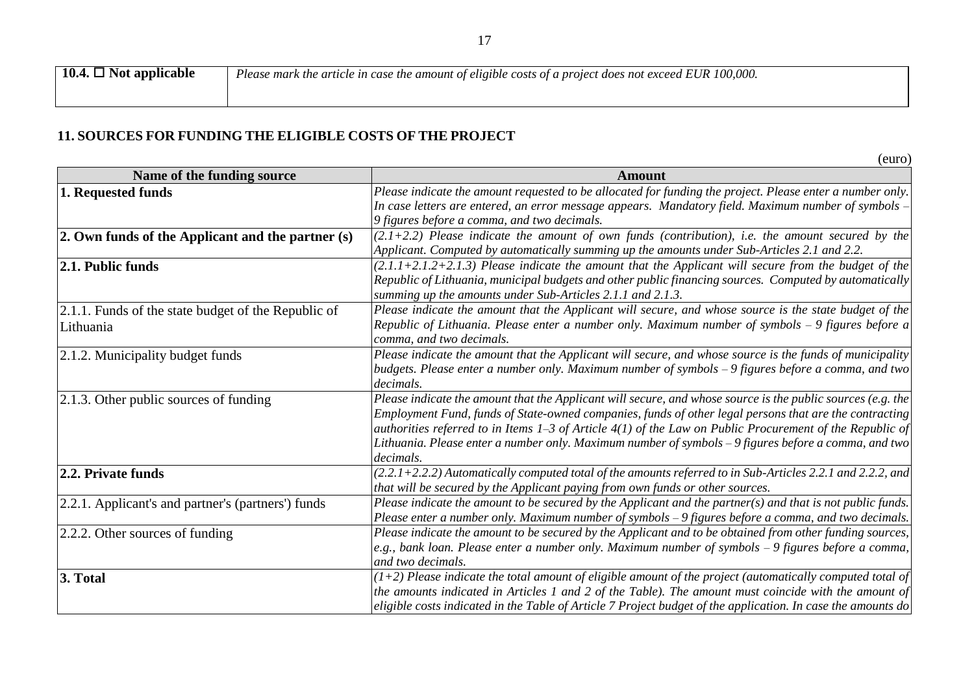*Please mark the article in case the amount of eligible costs of a project does not exceed EUR 100,000.*

# **11. SOURCES FOR FUNDING THE ELIGIBLE COSTS OF THE PROJECT**

(euro) **Name of the funding source Amount 1. Requested funds** *Please indicate the amount requested to be allocated for funding the project. Please enter a number only. In case letters are entered, an error message appears. Mandatory field. Maximum number of symbols* – *9 figures before a comma, and two decimals.* **2. Own funds of the Applicant and the partner (s)**  $(2.1+2.2)$  Please indicate the amount of own funds (contribution), i.e. the amount secured by the *Applicant. Computed by automatically summing up the amounts under Sub-Articles 2.1 and 2.2.* **2.1. Public funds** *(2.1.1+2.1.2+2.1.3) Please indicate the amount that the Applicant will secure from the budget of the Republic of Lithuania, municipal budgets and other public financing sources. Computed by automatically summing up the amounts under Sub-Articles 2.1.1 and 2.1.3.* 2.1.1. Funds of the state budget of the Republic of Lithuania *Please indicate the amount that the Applicant will secure, and whose source is the state budget of the Republic of Lithuania. Please enter a number only. Maximum number of symbols* – *9 figures before a comma, and two decimals.*  2.1.2. Municipality budget funds *Please indicate the amount that the Applicant will secure, and whose source is the funds of municipality budgets. Please enter a number only. Maximum number of symbols* – *9 figures before a comma, and two decimals.*  2.1.3. Other public sources of funding *Please indicate the amount that the Applicant will secure, and whose source is the public sources (e.g. the Employment Fund, funds of State-owned companies, funds of other legal persons that are the contracting authorities referred to in Items 1–3 of Article 4(1) of the Law on Public Procurement of the Republic of Lithuania. Please enter a number only. Maximum number of symbols* – *9 figures before a comma, and two decimals.*  **2.2. Private funds** *(2.2.1+2.2.2) Automatically computed total of the amounts referred to in Sub-Articles 2.2.1 and 2.2.2, and that will be secured by the Applicant paying from own funds or other sources.*  2.2.1. Applicant's and partner's (partners') funds *Please indicate the amount to be secured by the Applicant and the partner(s) and that is not public funds. Please enter a number only. Maximum number of symbols* – *9 figures before a comma, and two decimals.*  2.2.2. Other sources of funding *Please indicate the amount to be secured by the Applicant and to be obtained from other funding sources, e.g., bank loan. Please enter a number only. Maximum number of symbols* – *9 figures before a comma, and two decimals.*  **3. Total** *(1+2) Please indicate the total amount of eligible amount of the project (automatically computed total of the amounts indicated in Articles 1 and 2 of the Table). The amount must coincide with the amount of eligible costs indicated in the Table of Article 7 Project budget of the application. In case the amounts do*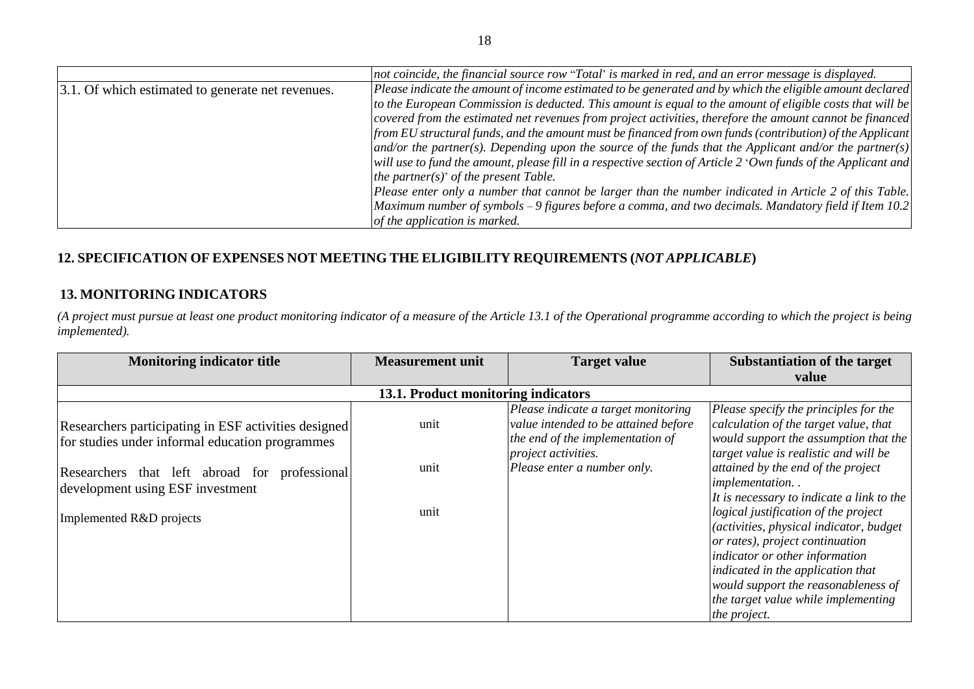|                                                     | not coincide, the financial source row "Total' is marked in red, and an error message is displayed.             |
|-----------------------------------------------------|-----------------------------------------------------------------------------------------------------------------|
| [3.1. Of which estimated to generate net revenues.] | $ Please$ indicate the amount of income estimated to be generated and by which the eligible amount declared $ $ |
|                                                     | to the European Commission is deducted. This amount is equal to the amount of eligible costs that will be       |
|                                                     | covered from the estimated net revenues from project activities, therefore the amount cannot be financed        |
|                                                     | from EU structural funds, and the amount must be financed from own funds (contribution) of the Applicant        |
|                                                     | $ $ and/or the partner(s). Depending upon the source of the funds that the Applicant and/or the partner(s)      |
|                                                     | will use to fund the amount, please fill in a respective section of Article 2 'Own funds of the Applicant and   |
|                                                     | the partner(s)' of the present Table.                                                                           |
|                                                     | Please enter only a number that cannot be larger than the number indicated in Article 2 of this Table.          |
|                                                     | $\vert$ Maximum number of symbols – 9 figures before a comma, and two decimals. Mandatory field if Item 10.2    |
|                                                     | of the application is marked.                                                                                   |

# **12. SPECIFICATION OF EXPENSES NOT MEETING THE ELIGIBILITY REQUIREMENTS (***NOT APPLICABLE***)**

# **13. MONITORING INDICATORS**

*(A project must pursue at least one product monitoring indicator of a measure of the Article 13.1 of the Operational programme according to which the project is being implemented).*

| <b>Monitoring indicator title</b>                                                                                                                                                                                           | <b>Measurement unit</b>             | <b>Target value</b>                                                                                                                                                   | Substantiation of the target                                                                                                                                                                                                                                                                                  |
|-----------------------------------------------------------------------------------------------------------------------------------------------------------------------------------------------------------------------------|-------------------------------------|-----------------------------------------------------------------------------------------------------------------------------------------------------------------------|---------------------------------------------------------------------------------------------------------------------------------------------------------------------------------------------------------------------------------------------------------------------------------------------------------------|
|                                                                                                                                                                                                                             |                                     |                                                                                                                                                                       | value                                                                                                                                                                                                                                                                                                         |
|                                                                                                                                                                                                                             | 13.1. Product monitoring indicators |                                                                                                                                                                       |                                                                                                                                                                                                                                                                                                               |
| Researchers participating in ESF activities designed<br>for studies under informal education programmes<br>Researchers that left abroad for<br>professional<br>development using ESF investment<br>Implemented R&D projects | unit<br>unit<br>unit                | Please indicate a target monitoring<br>value intended to be attained before<br>the end of the implementation of<br>project activities.<br>Please enter a number only. | Please specify the principles for the<br>calculation of the target value, that<br>would support the assumption that the<br>target value is realistic and will be<br>attained by the end of the project<br>implementation<br>It is necessary to indicate a link to the<br>logical justification of the project |
|                                                                                                                                                                                                                             |                                     |                                                                                                                                                                       | (activities, physical indicator, budget<br>or rates), project continuation<br>indicator or other information<br>indicated in the application that<br>would support the reasonableness of<br>the target value while implementing<br>the project.                                                               |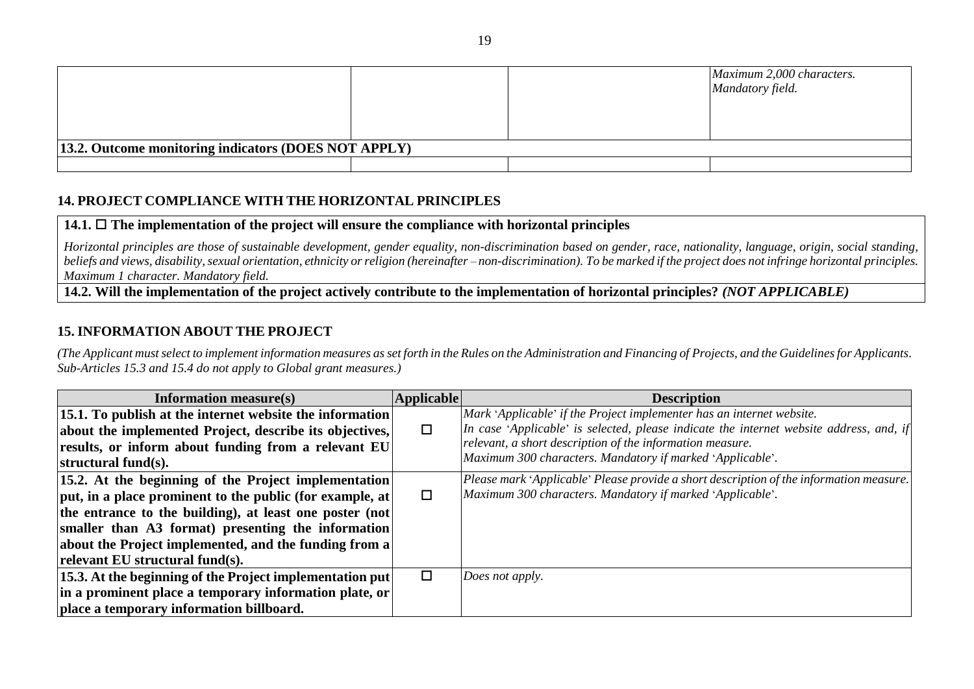|                                                      |  |  | Maximum 2,000 characters.<br>Mandatory field. |  |
|------------------------------------------------------|--|--|-----------------------------------------------|--|
| 13.2. Outcome monitoring indicators (DOES NOT APPLY) |  |  |                                               |  |
|                                                      |  |  |                                               |  |

## **14. PROJECT COMPLIANCE WITH THE HORIZONTAL PRINCIPLES**

### **14.1. The implementation of the project will ensure the compliance with horizontal principles**

*Horizontal principles are those of sustainable development, gender equality, non-discrimination based on gender, race, nationality, language, origin, social standing,*  beliefs and views, disability, sexual orientation, ethnicity or religion (hereinafter – non-discrimination). To be marked if the project does not infringe horizontal principles. *Maximum 1 character. Mandatory field.*

**14.2. Will the implementation of the project actively contribute to the implementation of horizontal principles?** *(NOT APPLICABLE)*

### **15. INFORMATION ABOUT THE PROJECT**

*(The Applicant must select to implement information measures as set forth in the Rules on the Administration and Financing of Projects, and the Guidelines for Applicants. Sub-Articles 15.3 and 15.4 do not apply to Global grant measures.)*

| <b>Information measure(s)</b>                                | <b>Applicable</b> | <b>Description</b>                                                                      |
|--------------------------------------------------------------|-------------------|-----------------------------------------------------------------------------------------|
| 15.1. To publish at the internet website the information     |                   | Mark 'Applicable' if the Project implementer has an internet website.                   |
| about the implemented Project, describe its objectives,      | □                 | In case 'Applicable' is selected, please indicate the internet website address, and, if |
| results, or inform about funding from a relevant EU          |                   | relevant, a short description of the information measure.                               |
| structural fund $(s)$ .                                      |                   | Maximum 300 characters. Mandatory if marked 'Applicable'.                               |
| 15.2. At the beginning of the Project implementation         |                   | Please mark 'Applicable' Please provide a short description of the information measure. |
| $ put, in a place prominent to the public (for example, at)$ | □                 | Maximum 300 characters. Mandatory if marked 'Applicable'.                               |
| the entrance to the building), at least one poster (not      |                   |                                                                                         |
| smaller than A3 format) presenting the information           |                   |                                                                                         |
| about the Project implemented, and the funding from a        |                   |                                                                                         |
| relevant EU structural fund(s).                              |                   |                                                                                         |
| $ 15.3$ . At the beginning of the Project implementation put | □                 | Does not apply.                                                                         |
| in a prominent place a temporary information plate, or       |                   |                                                                                         |
| place a temporary information billboard.                     |                   |                                                                                         |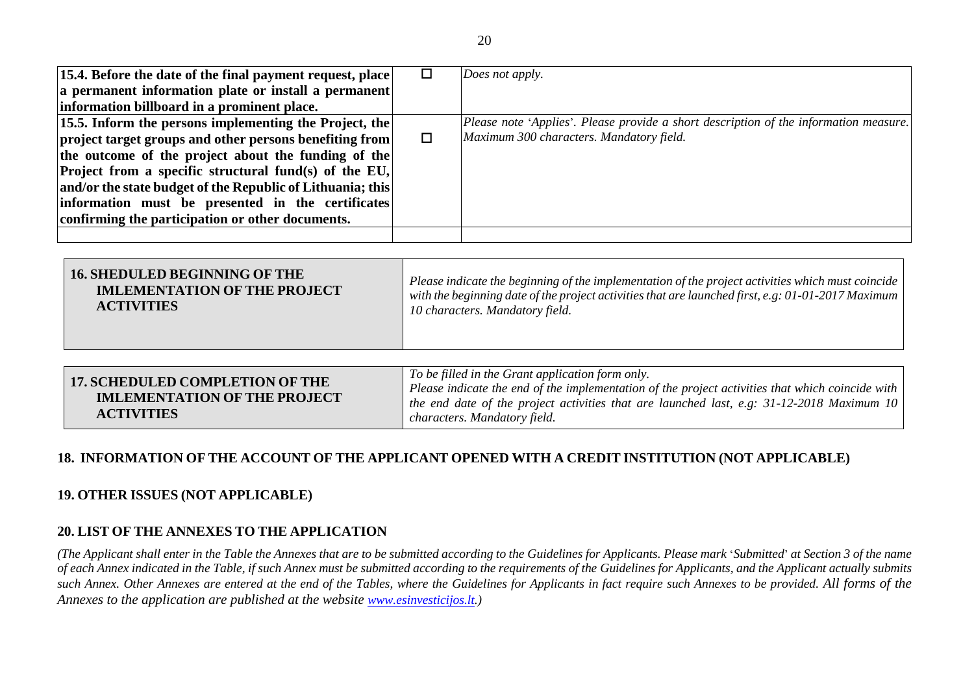| [15.4. Before the date of the final payment request, place]    |   | Does not apply.                                                                       |
|----------------------------------------------------------------|---|---------------------------------------------------------------------------------------|
| a permanent information plate or install a permanent           |   |                                                                                       |
| information billboard in a prominent place.                    |   |                                                                                       |
| $\vert$ 15.5. Inform the persons implementing the Project, the |   | Please note 'Applies'. Please provide a short description of the information measure. |
| project target groups and other persons benefiting from        | □ | Maximum 300 characters. Mandatory field.                                              |
| the outcome of the project about the funding of the            |   |                                                                                       |
| <b>Project from a specific structural fund(s) of the EU,</b>   |   |                                                                                       |
| and/or the state budget of the Republic of Lithuania; this     |   |                                                                                       |
| information must be presented in the certificates              |   |                                                                                       |
| confirming the participation or other documents.               |   |                                                                                       |
|                                                                |   |                                                                                       |

| <b>16. SHEDULED BEGINNING OF THE</b><br><b>IMLEMENTATION OF THE PROJECT</b><br><b>ACTIVITIES</b> | Please indicate the beginning of the implementation of the project activities which must coincide<br>with the beginning date of the project activities that are launched first, e.g. 01-01-2017 Maximum<br>10 characters. Mandatory field. |
|--------------------------------------------------------------------------------------------------|--------------------------------------------------------------------------------------------------------------------------------------------------------------------------------------------------------------------------------------------|
|                                                                                                  |                                                                                                                                                                                                                                            |
| <b>17. SCHEDULED COMPLETION OF THE</b>                                                           | To be filled in the Grant application form only.                                                                                                                                                                                           |
| <b>IMLEMENTATION OF THE PROJECT</b>                                                              | Please indicate the end of the implementation of the project activities that which coincide with  <br>the end date of the project activities that are launched last, e.g. $31-12-2018$ Maximum 10                                          |

| UEN<br>the contract of the contract of the contract of the | characters. Mandatory field. |
|------------------------------------------------------------|------------------------------|
|                                                            |                              |

## **18. INFORMATION OF THE ACCOUNT OF THE APPLICANT OPENED WITH A CREDIT INSTITUTION (NOT APPLICABLE)**

## **19. OTHER ISSUES (NOT APPLICABLE)**

**ACTIVITIES**

### **20. LIST OF THE ANNEXES TO THE APPLICATION**

*(The Applicant shall enter in the Table the Annexes that are to be submitted according to the Guidelines for Applicants. Please mark* '*Submitted*' *at Section 3 of the name of each Annex indicated in the Table, if such Annex must be submitted according to the requirements of the Guidelines for Applicants, and the Applicant actually submits*  such Annex. Other Annexes are entered at the end of the Tables, where the Guidelines for Applicants in fact require such Annexes to be provided. All forms of the *Annexes to the application are published at the website [www.esinvesticijos.lt.](http://www.esinvesticijos.lt/))*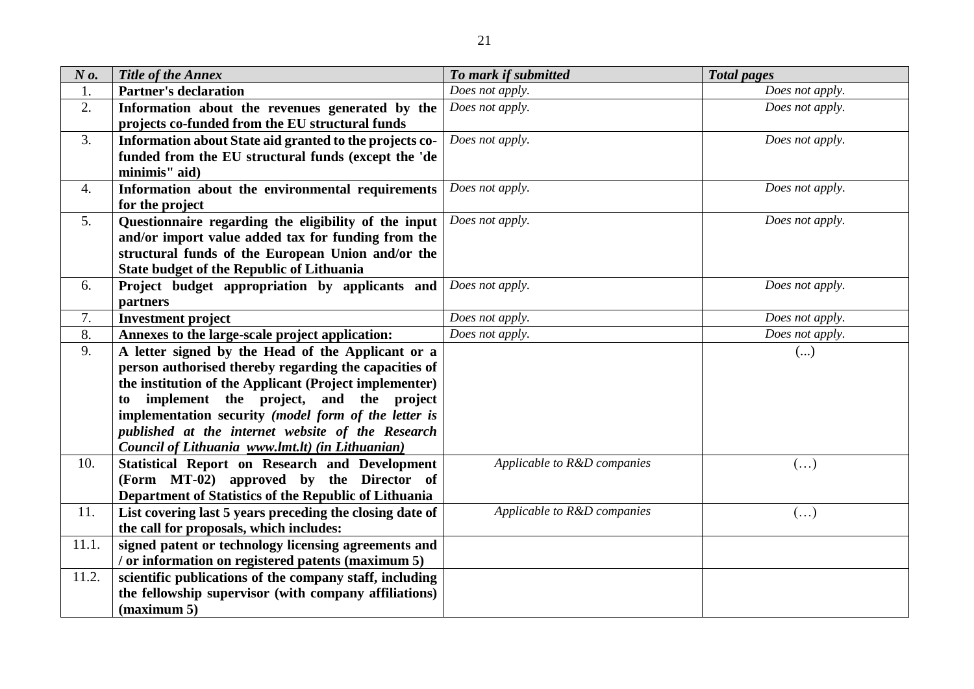| $N\mathfrak{o}$ . | Title of the Annex                                       | To mark if submitted        | <b>Total pages</b>    |
|-------------------|----------------------------------------------------------|-----------------------------|-----------------------|
| 1.                | <b>Partner's declaration</b>                             | Does not apply.             | Does not apply.       |
| 2.                | Information about the revenues generated by the          | Does not apply.             | Does not apply.       |
|                   | projects co-funded from the EU structural funds          |                             |                       |
| 3.                | Information about State aid granted to the projects co-  | Does not apply.             | Does not apply.       |
|                   | funded from the EU structural funds (except the 'de      |                             |                       |
|                   | minimis" aid)                                            |                             |                       |
| 4.                | Information about the environmental requirements         | Does not apply.             | Does not apply.       |
|                   | for the project                                          |                             |                       |
| 5.                | Questionnaire regarding the eligibility of the input     | Does not apply.             | Does not apply.       |
|                   | and/or import value added tax for funding from the       |                             |                       |
|                   | structural funds of the European Union and/or the        |                             |                       |
|                   | <b>State budget of the Republic of Lithuania</b>         |                             |                       |
| 6.                | Project budget appropriation by applicants and           | Does not apply.             | Does not apply.       |
|                   | partners                                                 |                             |                       |
| 7.                | <b>Investment project</b>                                | Does not apply.             | Does not apply.       |
| 8.                | Annexes to the large-scale project application:          | Does not apply.             | Does not apply.       |
| 9.                | A letter signed by the Head of the Applicant or a        |                             | ()                    |
|                   | person authorised thereby regarding the capacities of    |                             |                       |
|                   | the institution of the Applicant (Project implementer)   |                             |                       |
|                   | implement the project, and the project<br>to             |                             |                       |
|                   | implementation security (model form of the letter is     |                             |                       |
|                   | published at the internet website of the Research        |                             |                       |
|                   | Council of Lithuania www.lmt.lt) (in Lithuanian)         |                             |                       |
| 10.               | Statistical Report on Research and Development           | Applicable to R&D companies | $\left(\ldots\right)$ |
|                   | (Form MT-02) approved by the Director of                 |                             |                       |
|                   | Department of Statistics of the Republic of Lithuania    |                             |                       |
| 11.               | List covering last 5 years preceding the closing date of | Applicable to R&D companies | $(\ldots)$            |
|                   | the call for proposals, which includes:                  |                             |                       |
| 11.1.             | signed patent or technology licensing agreements and     |                             |                       |
|                   | / or information on registered patents (maximum 5)       |                             |                       |
| 11.2.             | scientific publications of the company staff, including  |                             |                       |
|                   | the fellowship supervisor (with company affiliations)    |                             |                       |
|                   | (maximum 5)                                              |                             |                       |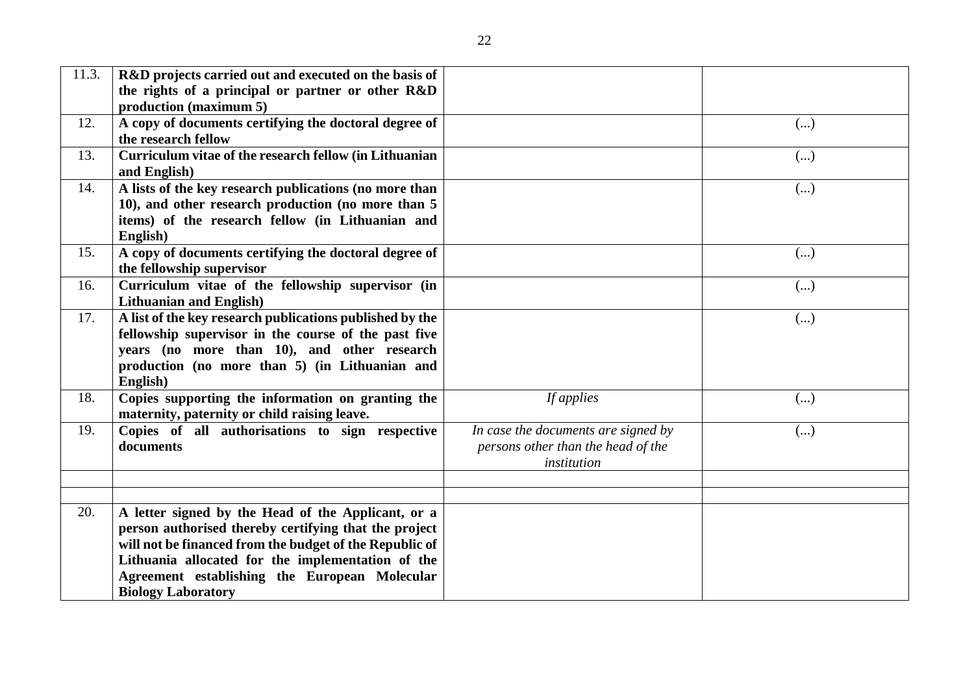| 11.3. | R&D projects carried out and executed on the basis of<br>the rights of a principal or partner or other R&D                                                                                                                                                                                                |                                                                                          |            |
|-------|-----------------------------------------------------------------------------------------------------------------------------------------------------------------------------------------------------------------------------------------------------------------------------------------------------------|------------------------------------------------------------------------------------------|------------|
|       | production (maximum 5)                                                                                                                                                                                                                                                                                    |                                                                                          |            |
| 12.   | A copy of documents certifying the doctoral degree of<br>the research fellow                                                                                                                                                                                                                              |                                                                                          | ()         |
| 13.   | Curriculum vitae of the research fellow (in Lithuanian<br>and English)                                                                                                                                                                                                                                    |                                                                                          | ()         |
| 14.   | A lists of the key research publications (no more than<br>10), and other research production (no more than 5<br>items) of the research fellow (in Lithuanian and<br>English)                                                                                                                              |                                                                                          | $(\ldots)$ |
| 15.   | A copy of documents certifying the doctoral degree of<br>the fellowship supervisor                                                                                                                                                                                                                        |                                                                                          | ()         |
| 16.   | Curriculum vitae of the fellowship supervisor (in<br><b>Lithuanian and English)</b>                                                                                                                                                                                                                       |                                                                                          | ()         |
| 17.   | A list of the key research publications published by the<br>fellowship supervisor in the course of the past five<br>years (no more than 10), and other research<br>production (no more than 5) (in Lithuanian and<br>English)                                                                             |                                                                                          | ()         |
| 18.   | Copies supporting the information on granting the<br>maternity, paternity or child raising leave.                                                                                                                                                                                                         | If applies                                                                               | ()         |
| 19.   | Copies of all authorisations to sign respective<br>documents                                                                                                                                                                                                                                              | In case the documents are signed by<br>persons other than the head of the<br>institution | $(\ldots)$ |
|       |                                                                                                                                                                                                                                                                                                           |                                                                                          |            |
| 20.   | A letter signed by the Head of the Applicant, or a<br>person authorised thereby certifying that the project<br>will not be financed from the budget of the Republic of<br>Lithuania allocated for the implementation of the<br>Agreement establishing the European Molecular<br><b>Biology Laboratory</b> |                                                                                          |            |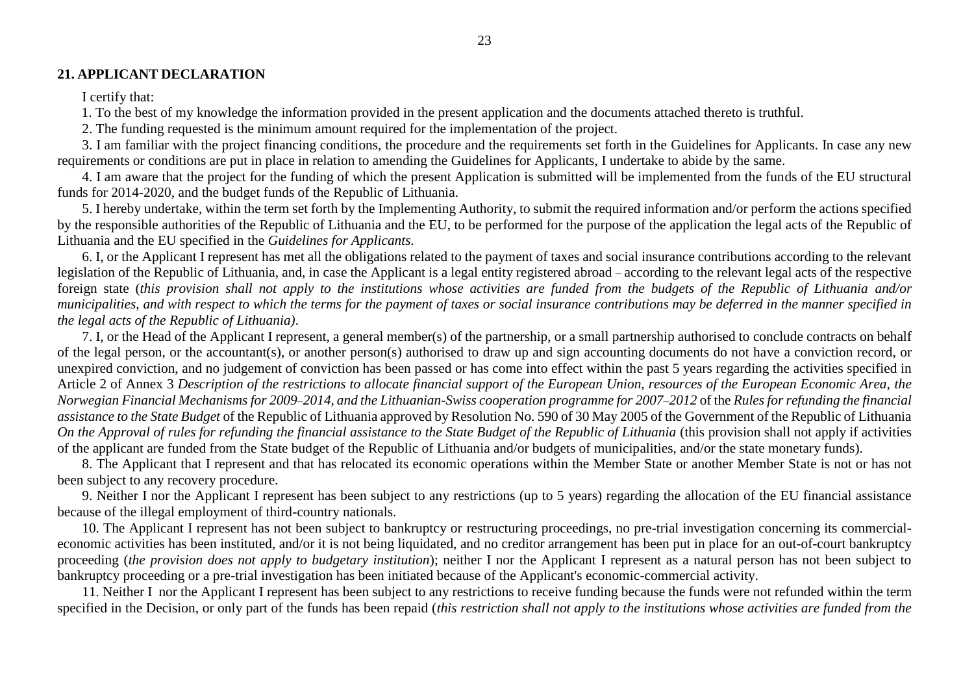#### **21. APPLICANT DECLARATION**

I certify that:

1. To the best of my knowledge the information provided in the present application and the documents attached thereto is truthful.

2. The funding requested is the minimum amount required for the implementation of the project.

3. I am familiar with the project financing conditions, the procedure and the requirements set forth in the Guidelines for Applicants. In case any new requirements or conditions are put in place in relation to amending the Guidelines for Applicants, I undertake to abide by the same.

4. I am aware that the project for the funding of which the present Application is submitted will be implemented from the funds of the EU structural funds for 2014-2020, and the budget funds of the Republic of Lithuania.

5. I hereby undertake, within the term set forth by the Implementing Authority, to submit the required information and/or perform the actions specified by the responsible authorities of the Republic of Lithuania and the EU, to be performed for the purpose of the application the legal acts of the Republic of Lithuania and the EU specified in the *Guidelines for Applicants.*

6. I, or the Applicant I represent has met all the obligations related to the payment of taxes and social insurance contributions according to the relevant legislation of the Republic of Lithuania, and, in case the Applicant is a legal entity registered abroad – according to the relevant legal acts of the respective foreign state (*this provision shall not apply to the institutions whose activities are funded from the budgets of the Republic of Lithuania and/or municipalities, and with respect to which the terms for the payment of taxes or social insurance contributions may be deferred in the manner specified in the legal acts of the Republic of Lithuania)*.

7. I, or the Head of the Applicant I represent, a general member(s) of the partnership, or a small partnership authorised to conclude contracts on behalf of the legal person, or the accountant(s), or another person(s) authorised to draw up and sign accounting documents do not have a conviction record, or unexpired conviction, and no judgement of conviction has been passed or has come into effect within the past 5 years regarding the activities specified in Article 2 of Annex 3 *Description of the restrictions to allocate financial support of the European Union, resources of the European Economic Area, the Norwegian Financial Mechanisms for 2009–2014, and the Lithuanian-Swiss cooperation programme for 2007–2012* of the *Rules for refunding the financial assistance to the State Budget* of the Republic of Lithuania approved by Resolution No. 590 of 30 May 2005 of the Government of the Republic of Lithuania *On the Approval of rules for refunding the financial assistance to the State Budget of the Republic of Lithuania* (this provision shall not apply if activities of the applicant are funded from the State budget of the Republic of Lithuania and/or budgets of municipalities, and/or the state monetary funds).

8. The Applicant that I represent and that has relocated its economic operations within the Member State or another Member State is not or has not been subject to any recovery procedure.

9. Neither I nor the Applicant I represent has been subject to any restrictions (up to 5 years) regarding the allocation of the EU financial assistance because of the illegal employment of third-country nationals.

10. The Applicant I represent has not been subject to bankruptcy or restructuring proceedings, no pre-trial investigation concerning its commercialeconomic activities has been instituted, and/or it is not being liquidated, and no creditor arrangement has been put in place for an out-of-court bankruptcy proceeding (*the provision does not apply to budgetary institution*); neither I nor the Applicant I represent as a natural person has not been subject to bankruptcy proceeding or a pre-trial investigation has been initiated because of the Applicant's economic-commercial activity.

11. Neither I nor the Applicant I represent has been subject to any restrictions to receive funding because the funds were not refunded within the term specified in the Decision, or only part of the funds has been repaid (*this restriction shall not apply to the institutions whose activities are funded from the*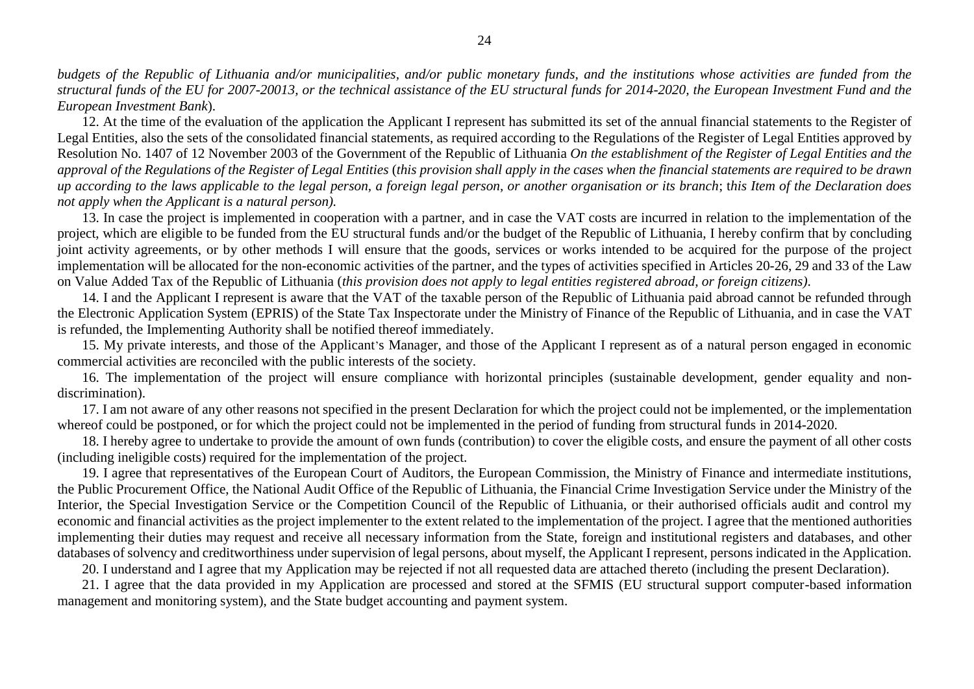*budgets of the Republic of Lithuania and/or municipalities, and/or public monetary funds, and the institutions whose activities are funded from the structural funds of the EU for 2007-20013, or the technical assistance of the EU structural funds for 2014-2020, the European Investment Fund and the European Investment Bank*).

12. At the time of the evaluation of the application the Applicant I represent has submitted its set of the annual financial statements to the Register of Legal Entities, also the sets of the consolidated financial statements, as required according to the Regulations of the Register of Legal Entities approved by Resolution No. 1407 of 12 November 2003 of the Government of the Republic of Lithuania *On the establishment of the Register of Legal Entities and the approval of the Regulations of the Register of Legal Entities* (*this provision shall apply in the cases when the financial statements are required to be drawn up according to the laws applicable to the legal person, a foreign legal person, or another organisation or its branch*; t*his Item of the Declaration does not apply when the Applicant is a natural person).*

13. In case the project is implemented in cooperation with a partner, and in case the VAT costs are incurred in relation to the implementation of the project, which are eligible to be funded from the EU structural funds and/or the budget of the Republic of Lithuania, I hereby confirm that by concluding joint activity agreements, or by other methods I will ensure that the goods, services or works intended to be acquired for the purpose of the project implementation will be allocated for the non-economic activities of the partner, and the types of activities specified in Articles 20-26, 29 and 33 of the Law on Value Added Tax of the Republic of Lithuania (*this provision does not apply to legal entities registered abroad, or foreign citizens)*.

14. I and the Applicant I represent is aware that the VAT of the taxable person of the Republic of Lithuania paid abroad cannot be refunded through the Electronic Application System (EPRIS) of the State Tax Inspectorate under the Ministry of Finance of the Republic of Lithuania, and in case the VAT is refunded, the Implementing Authority shall be notified thereof immediately.

15. My private interests, and those of the Applicant's Manager, and those of the Applicant I represent as of a natural person engaged in economic commercial activities are reconciled with the public interests of the society.

16. The implementation of the project will ensure compliance with horizontal principles (sustainable development, gender equality and nondiscrimination).

17. I am not aware of any other reasons not specified in the present Declaration for which the project could not be implemented, or the implementation whereof could be postponed, or for which the project could not be implemented in the period of funding from structural funds in 2014-2020.

18. I hereby agree to undertake to provide the amount of own funds (contribution) to cover the eligible costs, and ensure the payment of all other costs (including ineligible costs) required for the implementation of the project.

19. I agree that representatives of the European Court of Auditors, the European Commission, the Ministry of Finance and intermediate institutions, the Public Procurement Office, the National Audit Office of the Republic of Lithuania, the Financial Crime Investigation Service under the Ministry of the Interior, the Special Investigation Service or the Competition Council of the Republic of Lithuania, or their authorised officials audit and control my economic and financial activities as the project implementer to the extent related to the implementation of the project. I agree that the mentioned authorities implementing their duties may request and receive all necessary information from the State, foreign and institutional registers and databases, and other databases of solvency and creditworthiness under supervision of legal persons, about myself, the Applicant I represent, persons indicated in the Application.

20. I understand and I agree that my Application may be rejected if not all requested data are attached thereto (including the present Declaration).

21. I agree that the data provided in my Application are processed and stored at the SFMIS (EU structural support computer-based information management and monitoring system), and the State budget accounting and payment system.